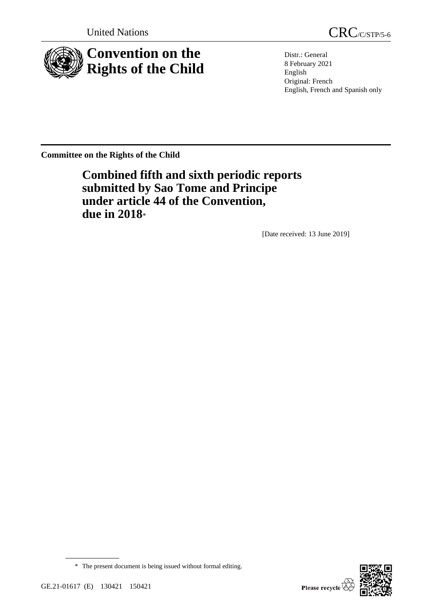

United Nations CRC/C/STP/5-6

Distr.: General 8 February 2021 English Original: French English, French and Spanish only

**Committee on the Rights of the Child**

**Combined fifth and sixth periodic reports submitted by Sao Tome and Principe under article 44 of the Convention, due in 2018**\*

[Date received: 13 June 2019]



<sup>\*</sup> The present document is being issued without formal editing.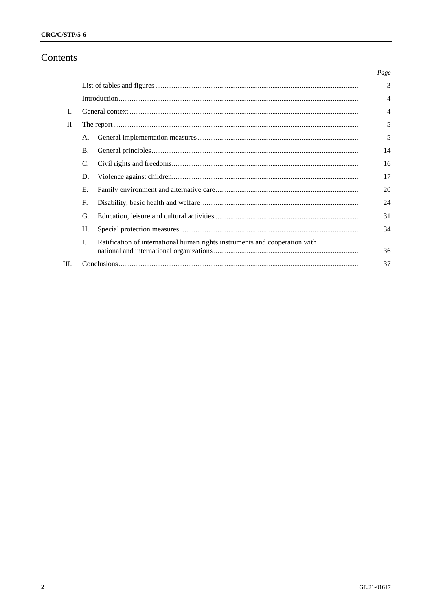# Contents

|      |           |                                                                             | Page           |  |  |  |
|------|-----------|-----------------------------------------------------------------------------|----------------|--|--|--|
|      |           |                                                                             | 3              |  |  |  |
|      |           |                                                                             | $\overline{4}$ |  |  |  |
| L    |           |                                                                             |                |  |  |  |
| H    |           |                                                                             | 5              |  |  |  |
|      | A.        |                                                                             | 5              |  |  |  |
|      | <b>B.</b> |                                                                             | 14             |  |  |  |
|      | C.        |                                                                             | 16             |  |  |  |
|      | D.        |                                                                             | 17             |  |  |  |
|      | Е.        |                                                                             | 20             |  |  |  |
|      | F.        |                                                                             | 24             |  |  |  |
|      | G.        |                                                                             | 31             |  |  |  |
|      | H.        |                                                                             | 34             |  |  |  |
|      | L         | Ratification of international human rights instruments and cooperation with |                |  |  |  |
|      |           |                                                                             | 36             |  |  |  |
| III. |           |                                                                             |                |  |  |  |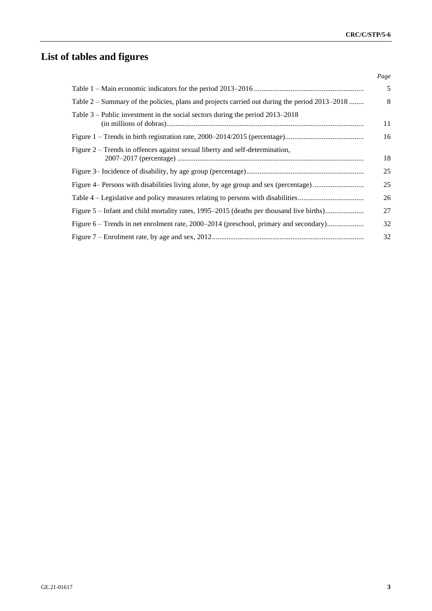# **List of tables and figures**

|                                                                                               | Page |
|-----------------------------------------------------------------------------------------------|------|
|                                                                                               | 5    |
| Table 2 – Summary of the policies, plans and projects carried out during the period 2013–2018 | 8    |
| Table $3$ – Public investment in the social sectors during the period $2013-2018$             | 11   |
|                                                                                               | 16   |
| Figure 2 – Trends in offences against sexual liberty and self-determination,                  | 18   |
|                                                                                               | 25   |
| Figure 4– Persons with disabilities living alone, by age group and sex (percentage)           | 25   |
|                                                                                               | 26   |
| Figure 5 – Infant and child mortality rates, 1995–2015 (deaths per thousand live births)      | 27   |
| Figure 6 – Trends in net enrolment rate, 2000–2014 (preschool, primary and secondary)         | 32   |
|                                                                                               | 32   |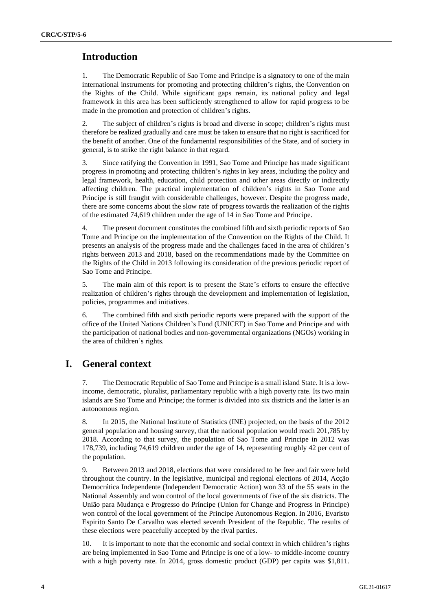# **Introduction**

1. The Democratic Republic of Sao Tome and Principe is a signatory to one of the main international instruments for promoting and protecting children's rights, the Convention on the Rights of the Child. While significant gaps remain, its national policy and legal framework in this area has been sufficiently strengthened to allow for rapid progress to be made in the promotion and protection of children's rights.

2. The subject of children's rights is broad and diverse in scope; children's rights must therefore be realized gradually and care must be taken to ensure that no right is sacrificed for the benefit of another. One of the fundamental responsibilities of the State, and of society in general, is to strike the right balance in that regard.

3. Since ratifying the Convention in 1991, Sao Tome and Principe has made significant progress in promoting and protecting children's rights in key areas, including the policy and legal framework, health, education, child protection and other areas directly or indirectly affecting children. The practical implementation of children's rights in Sao Tome and Principe is still fraught with considerable challenges, however. Despite the progress made, there are some concerns about the slow rate of progress towards the realization of the rights of the estimated 74,619 children under the age of 14 in Sao Tome and Principe.

4. The present document constitutes the combined fifth and sixth periodic reports of Sao Tome and Principe on the implementation of the Convention on the Rights of the Child. It presents an analysis of the progress made and the challenges faced in the area of children's rights between 2013 and 2018, based on the recommendations made by the Committee on the Rights of the Child in 2013 following its consideration of the previous periodic report of Sao Tome and Principe.

5. The main aim of this report is to present the State's efforts to ensure the effective realization of children's rights through the development and implementation of legislation, policies, programmes and initiatives.

6. The combined fifth and sixth periodic reports were prepared with the support of the office of the United Nations Children's Fund (UNICEF) in Sao Tome and Principe and with the participation of national bodies and non-governmental organizations (NGOs) working in the area of children's rights.

# **I. General context**

7. The Democratic Republic of Sao Tome and Principe is a small island State. It is a lowincome, democratic, pluralist, parliamentary republic with a high poverty rate. Its two main islands are Sao Tome and Principe; the former is divided into six districts and the latter is an autonomous region.

8. In 2015, the National Institute of Statistics (INE) projected, on the basis of the 2012 general population and housing survey, that the national population would reach 201,785 by 2018. According to that survey, the population of Sao Tome and Principe in 2012 was 178,739, including 74,619 children under the age of 14, representing roughly 42 per cent of the population.

9. Between 2013 and 2018, elections that were considered to be free and fair were held throughout the country. In the legislative, municipal and regional elections of 2014, Acção Democrática Independente (Independent Democratic Action) won 33 of the 55 seats in the National Assembly and won control of the local governments of five of the six districts. The União para Mudança e Progresso do Príncipe (Union for Change and Progress in Principe) won control of the local government of the Principe Autonomous Region. In 2016, Evaristo Espirito Santo De Carvalho was elected seventh President of the Republic. The results of these elections were peacefully accepted by the rival parties.

10. It is important to note that the economic and social context in which children's rights are being implemented in Sao Tome and Principe is one of a low- to middle-income country with a high poverty rate. In 2014, gross domestic product (GDP) per capita was \$1,811.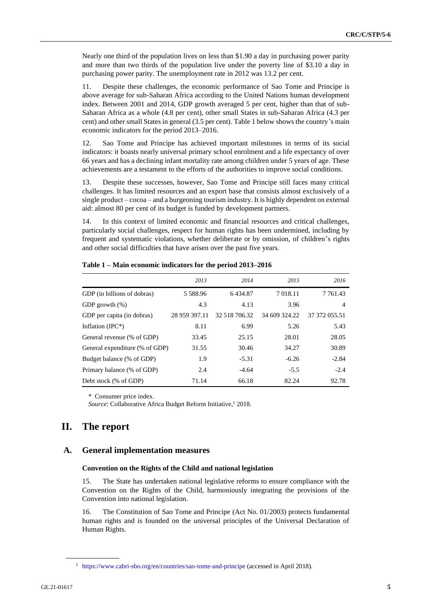Nearly one third of the population lives on less than \$1.90 a day in purchasing power parity and more than two thirds of the population live under the poverty line of \$3.10 a day in purchasing power parity. The unemployment rate in 2012 was 13.2 per cent.

11. Despite these challenges, the economic performance of Sao Tome and Principe is above average for sub-Saharan Africa according to the United Nations human development index. Between 2001 and 2014, GDP growth averaged 5 per cent, higher than that of sub-Saharan Africa as a whole (4.8 per cent), other small States in sub-Saharan Africa (4.3 per cent) and other small States in general (3.5 per cent). Table 1 below shows the country's main economic indicators for the period 2013–2016.

12. Sao Tome and Principe has achieved important milestones in terms of its social indicators: it boasts nearly universal primary school enrolment and a life expectancy of over 66 years and has a declining infant mortality rate among children under 5 years of age. These achievements are a testament to the efforts of the authorities to improve social conditions.

13. Despite these successes, however, Sao Tome and Principe still faces many critical challenges. It has limited resources and an export base that consists almost exclusively of a single product – cocoa – and a burgeoning tourism industry. It is highly dependent on external aid: almost 80 per cent of its budget is funded by development partners.

14. In this context of limited economic and financial resources and critical challenges, particularly social challenges, respect for human rights has been undermined, including by frequent and systematic violations, whether deliberate or by omission, of children's rights and other social difficulties that have arisen over the past five years.

|                                | 2013          | 2014          | 2015          | 2016           |
|--------------------------------|---------------|---------------|---------------|----------------|
| GDP (in billions of dobras)    | 5 5 8 8 9 6   | 6434.87       | 7 018.11      | 7 7 6 1 . 4 3  |
| GDP growth $(\%)$              | 4.3           | 4.13          | 3.96          | $\overline{4}$ |
| GDP per capita (in dobras)     | 28 959 397.11 | 32 518 706.32 | 34 609 324.22 | 37 372 055.51  |
| Inflation (IPC $*$ )           | 8.11          | 6.99          | 5.26          | 5.43           |
| General revenue (% of GDP)     | 33.45         | 25.15         | 28.01         | 28.05          |
| General expenditure (% of GDP) | 31.55         | 30.46         | 34.27         | 30.89          |
| Budget balance (% of GDP)      | 1.9           | $-5.31$       | $-6.26$       | $-2.84$        |
| Primary balance (% of GDP)     | 2.4           | $-4.64$       | $-5.5$        | $-2.4$         |
| Debt stock (% of GDP)          | 71.14         | 66.18         | 82.24         | 92.78          |

|  | Table 1 – Main economic indicators for the period 2013–2016 |  |  |  |
|--|-------------------------------------------------------------|--|--|--|
|--|-------------------------------------------------------------|--|--|--|

\* Consumer price index.

Source: Collaborative Africa Budget Reform Initiative,<sup>1</sup> 2018.

# **II. The report**

## **A. General implementation measures**

#### **Convention on the Rights of the Child and national legislation**

15. The State has undertaken national legislative reforms to ensure compliance with the Convention on the Rights of the Child, harmoniously integrating the provisions of the Convention into national legislation.

16. The Constitution of Sao Tome and Principe (Act No. 01/2003) protects fundamental human rights and is founded on the universal principles of the Universal Declaration of Human Rights.

<sup>&</sup>lt;sup>1</sup> <https://www.cabri-sbo.org/en/countries/sao-tome-and-principe> (accessed in April 2018).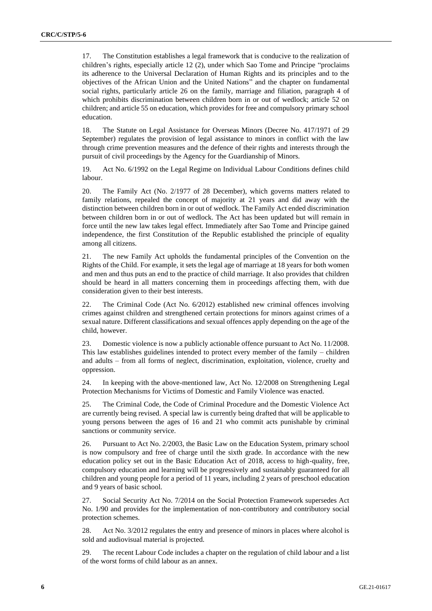17. The Constitution establishes a legal framework that is conducive to the realization of children's rights, especially article 12 (2), under which Sao Tome and Principe "proclaims its adherence to the Universal Declaration of Human Rights and its principles and to the objectives of the African Union and the United Nations" and the chapter on fundamental social rights, particularly article 26 on the family, marriage and filiation, paragraph 4 of which prohibits discrimination between children born in or out of wedlock; article 52 on children; and article 55 on education, which provides for free and compulsory primary school education.

18. The Statute on Legal Assistance for Overseas Minors (Decree No. 417/1971 of 29 September) regulates the provision of legal assistance to minors in conflict with the law through crime prevention measures and the defence of their rights and interests through the pursuit of civil proceedings by the Agency for the Guardianship of Minors.

19. Act No. 6/1992 on the Legal Regime on Individual Labour Conditions defines child labour.

20. The Family Act (No. 2/1977 of 28 December), which governs matters related to family relations, repealed the concept of majority at 21 years and did away with the distinction between children born in or out of wedlock. The Family Act ended discrimination between children born in or out of wedlock. The Act has been updated but will remain in force until the new law takes legal effect. Immediately after Sao Tome and Principe gained independence, the first Constitution of the Republic established the principle of equality among all citizens.

21. The new Family Act upholds the fundamental principles of the Convention on the Rights of the Child. For example, it sets the legal age of marriage at 18 years for both women and men and thus puts an end to the practice of child marriage. It also provides that children should be heard in all matters concerning them in proceedings affecting them, with due consideration given to their best interests.

22. The Criminal Code (Act No. 6/2012) established new criminal offences involving crimes against children and strengthened certain protections for minors against crimes of a sexual nature. Different classifications and sexual offences apply depending on the age of the child, however.

23. Domestic violence is now a publicly actionable offence pursuant to Act No. 11/2008. This law establishes guidelines intended to protect every member of the family – children and adults – from all forms of neglect, discrimination, exploitation, violence, cruelty and oppression.

24. In keeping with the above-mentioned law, Act No. 12/2008 on Strengthening Legal Protection Mechanisms for Victims of Domestic and Family Violence was enacted.

25. The Criminal Code, the Code of Criminal Procedure and the Domestic Violence Act are currently being revised. A special law is currently being drafted that will be applicable to young persons between the ages of 16 and 21 who commit acts punishable by criminal sanctions or community service.

26. Pursuant to Act No. 2/2003, the Basic Law on the Education System, primary school is now compulsory and free of charge until the sixth grade. In accordance with the new education policy set out in the Basic Education Act of 2018, access to high-quality, free, compulsory education and learning will be progressively and sustainably guaranteed for all children and young people for a period of 11 years, including 2 years of preschool education and 9 years of basic school.

27. Social Security Act No. 7/2014 on the Social Protection Framework supersedes Act No. 1/90 and provides for the implementation of non-contributory and contributory social protection schemes.

28. Act No. 3/2012 regulates the entry and presence of minors in places where alcohol is sold and audiovisual material is projected.

29. The recent Labour Code includes a chapter on the regulation of child labour and a list of the worst forms of child labour as an annex.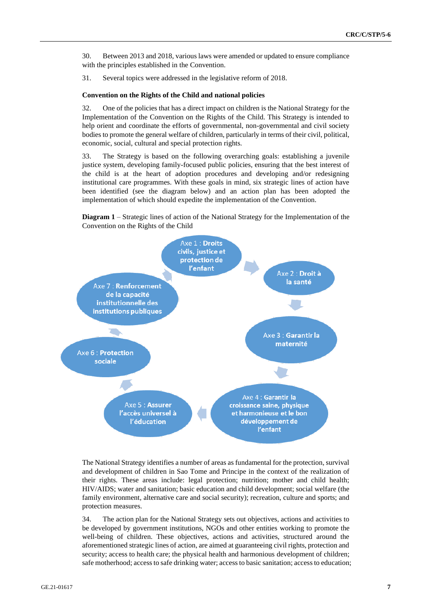30. Between 2013 and 2018, various laws were amended or updated to ensure compliance with the principles established in the Convention.

31. Several topics were addressed in the legislative reform of 2018.

#### **Convention on the Rights of the Child and national policies**

32. One of the policies that has a direct impact on children is the National Strategy for the Implementation of the Convention on the Rights of the Child. This Strategy is intended to help orient and coordinate the efforts of governmental, non-governmental and civil society bodies to promote the general welfare of children, particularly in terms of their civil, political, economic, social, cultural and special protection rights.

33. The Strategy is based on the following overarching goals: establishing a juvenile justice system, developing family-focused public policies, ensuring that the best interest of the child is at the heart of adoption procedures and developing and/or redesigning institutional care programmes. With these goals in mind, six strategic lines of action have been identified (see the diagram below) and an action plan has been adopted the implementation of which should expedite the implementation of the Convention.

**Diagram 1** – Strategic lines of action of the National Strategy for the Implementation of the Convention on the Rights of the Child



The National Strategy identifies a number of areas as fundamental for the protection, survival and development of children in Sao Tome and Principe in the context of the realization of their rights. These areas include: legal protection; nutrition; mother and child health; HIV/AIDS; water and sanitation; basic education and child development; social welfare (the family environment, alternative care and social security); recreation, culture and sports; and protection measures.

34. The action plan for the National Strategy sets out objectives, actions and activities to be developed by government institutions, NGOs and other entities working to promote the well-being of children. These objectives, actions and activities, structured around the aforementioned strategic lines of action, are aimed at guaranteeing civil rights, protection and security; access to health care; the physical health and harmonious development of children; safe motherhood; access to safe drinking water; access to basic sanitation; access to education;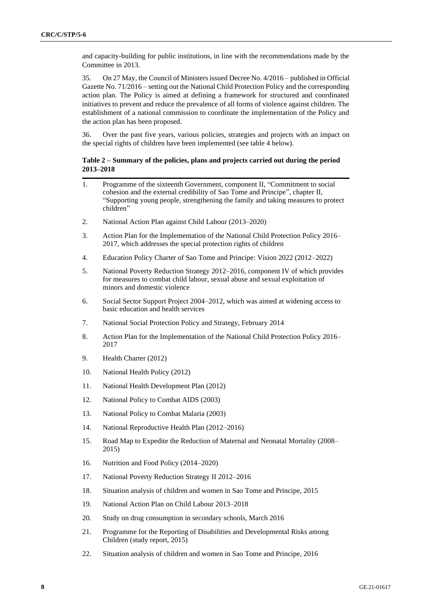and capacity-building for public institutions, in line with the recommendations made by the Committee in 2013.

35. On 27 May, the Council of Ministers issued Decree No. 4/2016 – published in Official Gazette No. 71/2016 – setting out the National Child Protection Policy and the corresponding action plan. The Policy is aimed at defining a framework for structured and coordinated initiatives to prevent and reduce the prevalence of all forms of violence against children. The establishment of a national commission to coordinate the implementation of the Policy and the action plan has been proposed.

36. Over the past five years, various policies, strategies and projects with an impact on the special rights of children have been implemented (see table 4 below).

#### **Table 2 – Summary of the policies, plans and projects carried out during the period 2013–2018**

- 1. Programme of the sixteenth Government, component II, "Commitment to social cohesion and the external credibility of Sao Tome and Principe", chapter II, "Supporting young people, strengthening the family and taking measures to protect children"
- 2. National Action Plan against Child Labour (2013–2020)
- 3. Action Plan for the Implementation of the National Child Protection Policy 2016– 2017, which addresses the special protection rights of children
- 4. Education Policy Charter of Sao Tome and Principe: Vision 2022 (2012–2022)
- 5. National Poverty Reduction Strategy 2012–2016, component IV of which provides for measures to combat child labour, sexual abuse and sexual exploitation of minors and domestic violence
- 6. Social Sector Support Project 2004–2012, which was aimed at widening access to basic education and health services
- 7. National Social Protection Policy and Strategy, February 2014
- 8. Action Plan for the Implementation of the National Child Protection Policy 2016– 2017
- 9. Health Charter (2012)
- 10. National Health Policy (2012)
- 11. National Health Development Plan (2012)
- 12. National Policy to Combat AIDS (2003)
- 13. National Policy to Combat Malaria (2003)
- 14. National Reproductive Health Plan (2012–2016)
- 15. Road Map to Expedite the Reduction of Maternal and Neonatal Mortality (2008– 2015)
- 16. Nutrition and Food Policy (2014–2020)
- 17. National Poverty Reduction Strategy II 2012–2016
- 18. Situation analysis of children and women in Sao Tome and Principe, 2015
- 19. National Action Plan on Child Labour 2013–2018
- 20. Study on drug consumption in secondary schools, March 2016
- 21. Programme for the Reporting of Disabilities and Developmental Risks among Children (study report, 2015)
- 22. Situation analysis of children and women in Sao Tome and Principe, 2016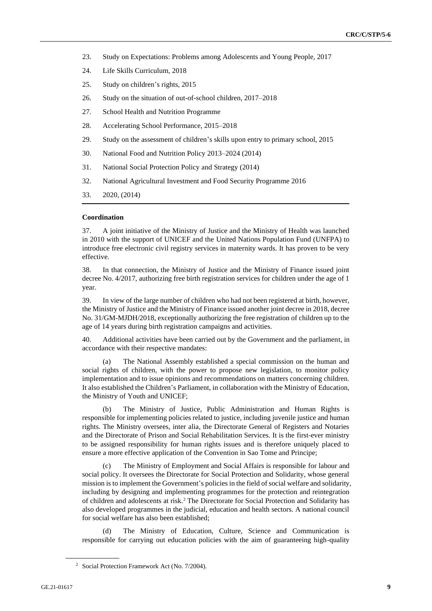- 23. Study on Expectations: Problems among Adolescents and Young People, 2017
- 24. Life Skills Curriculum, 2018
- 25. Study on children's rights, 2015
- 26. Study on the situation of out-of-school children, 2017–2018
- 27. School Health and Nutrition Programme
- 28. Accelerating School Performance, 2015–2018
- 29. Study on the assessment of children's skills upon entry to primary school, 2015
- 30. National Food and Nutrition Policy 2013–2024 (2014)
- 31. National Social Protection Policy and Strategy (2014)
- 32. National Agricultural Investment and Food Security Programme 2016
- 33. 2020, (2014)

#### **Coordination**

37. A joint initiative of the Ministry of Justice and the Ministry of Health was launched in 2010 with the support of UNICEF and the United Nations Population Fund (UNFPA) to introduce free electronic civil registry services in maternity wards. It has proven to be very effective.

38. In that connection, the Ministry of Justice and the Ministry of Finance issued joint decree No. 4/2017, authorizing free birth registration services for children under the age of 1 year.

39. In view of the large number of children who had not been registered at birth, however, the Ministry of Justice and the Ministry of Finance issued another joint decree in 2018, decree No. 31/GM-MJDH/2018, exceptionally authorizing the free registration of children up to the age of 14 years during birth registration campaigns and activities.

40. Additional activities have been carried out by the Government and the parliament, in accordance with their respective mandates:

(a) The National Assembly established a special commission on the human and social rights of children, with the power to propose new legislation, to monitor policy implementation and to issue opinions and recommendations on matters concerning children. It also established the Children's Parliament, in collaboration with the Ministry of Education, the Ministry of Youth and UNICEF;

(b) The Ministry of Justice, Public Administration and Human Rights is responsible for implementing policies related to justice, including juvenile justice and human rights. The Ministry oversees, inter alia, the Directorate General of Registers and Notaries and the Directorate of Prison and Social Rehabilitation Services. It is the first-ever ministry to be assigned responsibility for human rights issues and is therefore uniquely placed to ensure a more effective application of the Convention in Sao Tome and Principe;

(c) The Ministry of Employment and Social Affairs is responsible for labour and social policy. It oversees the Directorate for Social Protection and Solidarity, whose general mission is to implement the Government's policies in the field of social welfare and solidarity, including by designing and implementing programmes for the protection and reintegration of children and adolescents at risk.<sup>2</sup> The Directorate for Social Protection and Solidarity has also developed programmes in the judicial, education and health sectors. A national council for social welfare has also been established;

The Ministry of Education, Culture, Science and Communication is responsible for carrying out education policies with the aim of guaranteeing high-quality

<sup>2</sup> Social Protection Framework Act (No. 7/2004).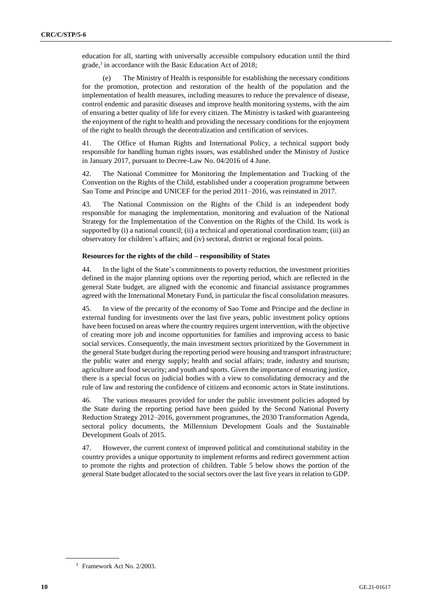education for all, starting with universally accessible compulsory education until the third grade,<sup>3</sup> in accordance with the Basic Education Act of 2018;

(e) The Ministry of Health is responsible for establishing the necessary conditions for the promotion, protection and restoration of the health of the population and the implementation of health measures, including measures to reduce the prevalence of disease, control endemic and parasitic diseases and improve health monitoring systems, with the aim of ensuring a better quality of life for every citizen. The Ministry is tasked with guaranteeing the enjoyment of the right to health and providing the necessary conditions for the enjoyment of the right to health through the decentralization and certification of services.

41. The Office of Human Rights and International Policy, a technical support body responsible for handling human rights issues, was established under the Ministry of Justice in January 2017, pursuant to Decree-Law No. 04/2016 of 4 June.

42. The National Committee for Monitoring the Implementation and Tracking of the Convention on the Rights of the Child, established under a cooperation programme between Sao Tome and Principe and UNICEF for the period 2011–2016, was reinstated in 2017.

43. The National Commission on the Rights of the Child is an independent body responsible for managing the implementation, monitoring and evaluation of the National Strategy for the Implementation of the Convention on the Rights of the Child. Its work is supported by (i) a national council; (ii) a technical and operational coordination team; (iii) an observatory for children's affairs; and (iv) sectoral, district or regional focal points.

#### **Resources for the rights of the child – responsibility of States**

44. In the light of the State's commitments to poverty reduction, the investment priorities defined in the major planning options over the reporting period, which are reflected in the general State budget, are aligned with the economic and financial assistance programmes agreed with the International Monetary Fund, in particular the fiscal consolidation measures.

45. In view of the precarity of the economy of Sao Tome and Principe and the decline in external funding for investments over the last five years, public investment policy options have been focused on areas where the country requires urgent intervention, with the objective of creating more job and income opportunities for families and improving access to basic social services. Consequently, the main investment sectors prioritized by the Government in the general State budget during the reporting period were housing and transport infrastructure; the public water and energy supply; health and social affairs; trade, industry and tourism; agriculture and food security; and youth and sports. Given the importance of ensuring justice, there is a special focus on judicial bodies with a view to consolidating democracy and the rule of law and restoring the confidence of citizens and economic actors in State institutions.

46. The various measures provided for under the public investment policies adopted by the State during the reporting period have been guided by the Second National Poverty Reduction Strategy 2012–2016, government programmes, the 2030 Transformation Agenda, sectoral policy documents, the Millennium Development Goals and the Sustainable Development Goals of 2015.

47. However, the current context of improved political and constitutional stability in the country provides a unique opportunity to implement reforms and redirect government action to promote the rights and protection of children. Table 5 below shows the portion of the general State budget allocated to the social sectors over the last five years in relation to GDP.

<sup>3</sup> Framework Act No. 2/2003.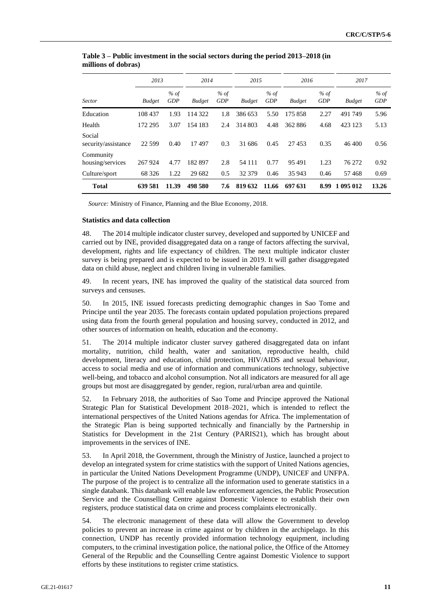|                               | 2013          |                    | 2014          |                    | 2015          |                    | 2016          |                    | 2017          |                    |
|-------------------------------|---------------|--------------------|---------------|--------------------|---------------|--------------------|---------------|--------------------|---------------|--------------------|
| <b>Sector</b>                 | <b>Budget</b> | % of<br><b>GDP</b> | <b>Budget</b> | % of<br><b>GDP</b> | <b>Budget</b> | % of<br><b>GDP</b> | <b>Budget</b> | % of<br><b>GDP</b> | <b>Budget</b> | % of<br><b>GDP</b> |
| Education                     | 108 437       | 1.93               | 114 322       | 1.8                | 386 653       | 5.50               | 175 858       | 2.27               | 491749        | 5.96               |
| Health                        | 172 295       | 3.07               | 154 183       | 2.4                | 314 803       | 4.48               | 362886        | 4.68               | 423 123       | 5.13               |
| Social<br>security/assistance | 22 5 9 9      | 0.40               | 17497         | 0.3                | 31 686        | 0.45               | 27453         | 0.35               | 46 400        | 0.56               |
| Community<br>housing/services | 267 924       | 4.77               | 182897        | 2.8                | 54 111        | 0.77               | 95491         | 1.23               | 76 272        | 0.92               |
| Culture/sport                 | 68 3 26       | 1.22               | 29 682        | 0.5                | 32 379        | 0.46               | 35 943        | 0.46               | 57468         | 0.69               |
| <b>Total</b>                  | 639 581       | 11.39              | 498 580       | 7.6                | 819 632       | 11.66              | 697 631       | 8.99               | 1 095 012     | 13.26              |

**Table 3 – Public investment in the social sectors during the period 2013–2018 (in millions of dobras)**

*Source:* Ministry of Finance, Planning and the Blue Economy, 2018.

#### **Statistics and data collection**

48. The 2014 multiple indicator cluster survey, developed and supported by UNICEF and carried out by INE, provided disaggregated data on a range of factors affecting the survival, development, rights and life expectancy of children. The next multiple indicator cluster survey is being prepared and is expected to be issued in 2019. It will gather disaggregated data on child abuse, neglect and children living in vulnerable families.

49. In recent years, INE has improved the quality of the statistical data sourced from surveys and censuses.

50. In 2015, INE issued forecasts predicting demographic changes in Sao Tome and Principe until the year 2035. The forecasts contain updated population projections prepared using data from the fourth general population and housing survey, conducted in 2012, and other sources of information on health, education and the economy.

51. The 2014 multiple indicator cluster survey gathered disaggregated data on infant mortality, nutrition, child health, water and sanitation, reproductive health, child development, literacy and education, child protection, HIV/AIDS and sexual behaviour, access to social media and use of information and communications technology, subjective well-being, and tobacco and alcohol consumption. Not all indicators are measured for all age groups but most are disaggregated by gender, region, rural/urban area and quintile.

52. In February 2018, the authorities of Sao Tome and Principe approved the National Strategic Plan for Statistical Development 2018–2021, which is intended to reflect the international perspectives of the United Nations agendas for Africa. The implementation of the Strategic Plan is being supported technically and financially by the Partnership in Statistics for Development in the 21st Century (PARIS21), which has brought about improvements in the services of INE.

53. In April 2018, the Government, through the Ministry of Justice, launched a project to develop an integrated system for crime statistics with the support of United Nations agencies, in particular the United Nations Development Programme (UNDP), UNICEF and UNFPA. The purpose of the project is to centralize all the information used to generate statistics in a single databank. This databank will enable law enforcement agencies, the Public Prosecution Service and the Counselling Centre against Domestic Violence to establish their own registers, produce statistical data on crime and process complaints electronically.

54. The electronic management of these data will allow the Government to develop policies to prevent an increase in crime against or by children in the archipelago. In this connection, UNDP has recently provided information technology equipment, including computers, to the criminal investigation police, the national police, the Office of the Attorney General of the Republic and the Counselling Centre against Domestic Violence to support efforts by these institutions to register crime statistics.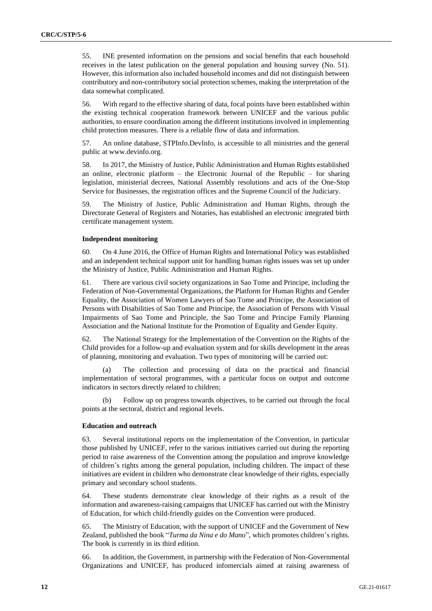55. INE presented information on the pensions and social benefits that each household receives in the latest publication on the general population and housing survey (No. 51). However, this information also included household incomes and did not distinguish between contributory and non-contributory social protection schemes, making the interpretation of the data somewhat complicated.

56. With regard to the effective sharing of data, focal points have been established within the existing technical cooperation framework between UNICEF and the various public authorities, to ensure coordination among the different institutions involved in implementing child protection measures. There is a reliable flow of data and information.

57. An online database, STPInfo.DevInfo, is accessible to all ministries and the general public at www.devinfo.org.

58. In 2017, the Ministry of Justice, Public Administration and Human Rights established an online, electronic platform – the Electronic Journal of the Republic – for sharing legislation, ministerial decrees, National Assembly resolutions and acts of the One-Stop Service for Businesses, the registration offices and the Supreme Council of the Judiciary.

59. The Ministry of Justice, Public Administration and Human Rights, through the Directorate General of Registers and Notaries, has established an electronic integrated birth certificate management system.

#### **Independent monitoring**

60. On 4 June 2016, the Office of Human Rights and International Policy was established and an independent technical support unit for handling human rights issues was set up under the Ministry of Justice, Public Administration and Human Rights.

61. There are various civil society organizations in Sao Tome and Principe, including the Federation of Non-Governmental Organizations, the Platform for Human Rights and Gender Equality, the Association of Women Lawyers of Sao Tome and Principe, the Association of Persons with Disabilities of Sao Tome and Principe, the Association of Persons with Visual Impairments of Sao Tome and Principle, the Sao Tome and Principe Family Planning Association and the National Institute for the Promotion of Equality and Gender Equity.

62. The National Strategy for the Implementation of the Convention on the Rights of the Child provides for a follow-up and evaluation system and for skills development in the areas of planning, monitoring and evaluation. Two types of monitoring will be carried out:

(a) The collection and processing of data on the practical and financial implementation of sectoral programmes, with a particular focus on output and outcome indicators in sectors directly related to children;

(b) Follow up on progress towards objectives, to be carried out through the focal points at the sectoral, district and regional levels.

#### **Education and outreach**

63. Several institutional reports on the implementation of the Convention, in particular those published by UNICEF, refer to the various initiatives carried out during the reporting period to raise awareness of the Convention among the population and improve knowledge of children's rights among the general population, including children. The impact of these initiatives are evident in children who demonstrate clear knowledge of their rights, especially primary and secondary school students.

64. These students demonstrate clear knowledge of their rights as a result of the information and awareness-raising campaigns that UNICEF has carried out with the Ministry of Education, for which child-friendly guides on the Convention were produced.

65. The Ministry of Education, with the support of UNICEF and the Government of New Zealand, published the book "*Turma da Nina e do Mano*", which promotes children's rights. The book is currently in its third edition.

66. In addition, the Government, in partnership with the Federation of Non-Governmental Organizations and UNICEF, has produced infomercials aimed at raising awareness of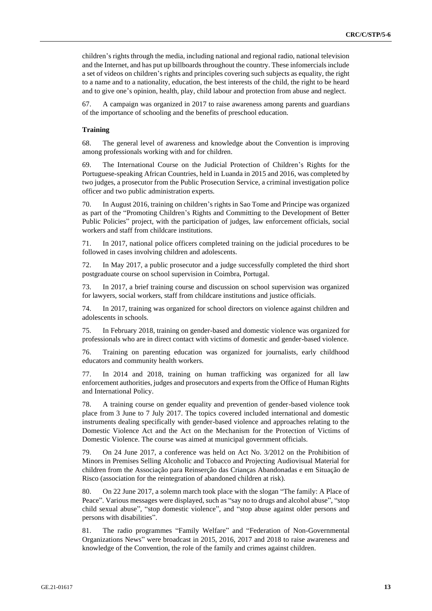children's rights through the media, including national and regional radio, national television and the Internet, and has put up billboards throughout the country. These infomercials include a set of videos on children's rights and principles covering such subjects as equality, the right to a name and to a nationality, education, the best interests of the child, the right to be heard and to give one's opinion, health, play, child labour and protection from abuse and neglect.

67. A campaign was organized in 2017 to raise awareness among parents and guardians of the importance of schooling and the benefits of preschool education.

#### **Training**

68. The general level of awareness and knowledge about the Convention is improving among professionals working with and for children.

69. The International Course on the Judicial Protection of Children's Rights for the Portuguese-speaking African Countries, held in Luanda in 2015 and 2016, was completed by two judges, a prosecutor from the Public Prosecution Service, a criminal investigation police officer and two public administration experts.

70. In August 2016, training on children's rights in Sao Tome and Principe was organized as part of the "Promoting Children's Rights and Committing to the Development of Better Public Policies" project, with the participation of judges, law enforcement officials, social workers and staff from childcare institutions.

71. In 2017, national police officers completed training on the judicial procedures to be followed in cases involving children and adolescents.

72. In May 2017, a public prosecutor and a judge successfully completed the third short postgraduate course on school supervision in Coimbra, Portugal.

73. In 2017, a brief training course and discussion on school supervision was organized for lawyers, social workers, staff from childcare institutions and justice officials.

74. In 2017, training was organized for school directors on violence against children and adolescents in schools.

75. In February 2018, training on gender-based and domestic violence was organized for professionals who are in direct contact with victims of domestic and gender-based violence.

76. Training on parenting education was organized for journalists, early childhood educators and community health workers.

77. In 2014 and 2018, training on human trafficking was organized for all law enforcement authorities, judges and prosecutors and experts from the Office of Human Rights and International Policy.

78. A training course on gender equality and prevention of gender-based violence took place from 3 June to 7 July 2017. The topics covered included international and domestic instruments dealing specifically with gender-based violence and approaches relating to the Domestic Violence Act and the Act on the Mechanism for the Protection of Victims of Domestic Violence. The course was aimed at municipal government officials.

79. On 24 June 2017, a conference was held on Act No. 3/2012 on the Prohibition of Minors in Premises Selling Alcoholic and Tobacco and Projecting Audiovisual Material for children from the Associação para Reinserção das Crianças Abandonadas e em Situação de Risco (association for the reintegration of abandoned children at risk).

80. On 22 June 2017, a solemn march took place with the slogan "The family: A Place of Peace". Various messages were displayed, such as "say no to drugs and alcohol abuse", "stop child sexual abuse", "stop domestic violence", and "stop abuse against older persons and persons with disabilities".

81. The radio programmes "Family Welfare" and "Federation of Non-Governmental Organizations News" were broadcast in 2015, 2016, 2017 and 2018 to raise awareness and knowledge of the Convention, the role of the family and crimes against children.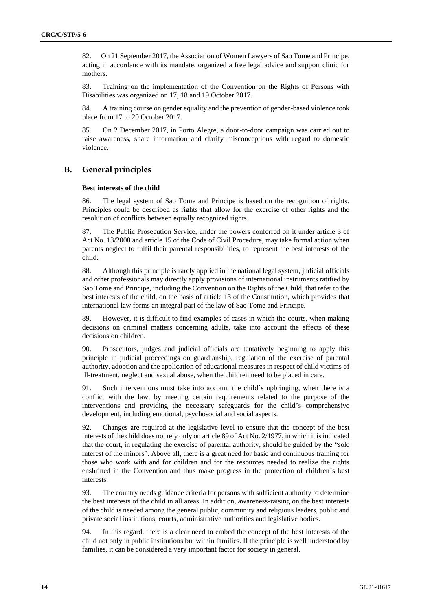82. On 21 September 2017, the Association of Women Lawyers of Sao Tome and Principe, acting in accordance with its mandate, organized a free legal advice and support clinic for mothers.

83. Training on the implementation of the Convention on the Rights of Persons with Disabilities was organized on 17, 18 and 19 October 2017.

84. A training course on gender equality and the prevention of gender-based violence took place from 17 to 20 October 2017.

85. On 2 December 2017, in Porto Alegre, a door-to-door campaign was carried out to raise awareness, share information and clarify misconceptions with regard to domestic violence.

# **B. General principles**

#### **Best interests of the child**

86. The legal system of Sao Tome and Principe is based on the recognition of rights. Principles could be described as rights that allow for the exercise of other rights and the resolution of conflicts between equally recognized rights.

87. The Public Prosecution Service, under the powers conferred on it under article 3 of Act No. 13/2008 and article 15 of the Code of Civil Procedure, may take formal action when parents neglect to fulfil their parental responsibilities, to represent the best interests of the child.

88. Although this principle is rarely applied in the national legal system, judicial officials and other professionals may directly apply provisions of international instruments ratified by Sao Tome and Principe, including the Convention on the Rights of the Child, that refer to the best interests of the child, on the basis of article 13 of the Constitution, which provides that international law forms an integral part of the law of Sao Tome and Principe.

89. However, it is difficult to find examples of cases in which the courts, when making decisions on criminal matters concerning adults, take into account the effects of these decisions on children.

90. Prosecutors, judges and judicial officials are tentatively beginning to apply this principle in judicial proceedings on guardianship, regulation of the exercise of parental authority, adoption and the application of educational measures in respect of child victims of ill-treatment, neglect and sexual abuse, when the children need to be placed in care.

91. Such interventions must take into account the child's upbringing, when there is a conflict with the law, by meeting certain requirements related to the purpose of the interventions and providing the necessary safeguards for the child's comprehensive development, including emotional, psychosocial and social aspects.

92. Changes are required at the legislative level to ensure that the concept of the best interests of the child does not rely only on article 89 of Act No. 2/1977, in which it is indicated that the court, in regulating the exercise of parental authority, should be guided by the "sole interest of the minors". Above all, there is a great need for basic and continuous training for those who work with and for children and for the resources needed to realize the rights enshrined in the Convention and thus make progress in the protection of children's best interests.

93. The country needs guidance criteria for persons with sufficient authority to determine the best interests of the child in all areas. In addition, awareness-raising on the best interests of the child is needed among the general public, community and religious leaders, public and private social institutions, courts, administrative authorities and legislative bodies.

94. In this regard, there is a clear need to embed the concept of the best interests of the child not only in public institutions but within families. If the principle is well understood by families, it can be considered a very important factor for society in general.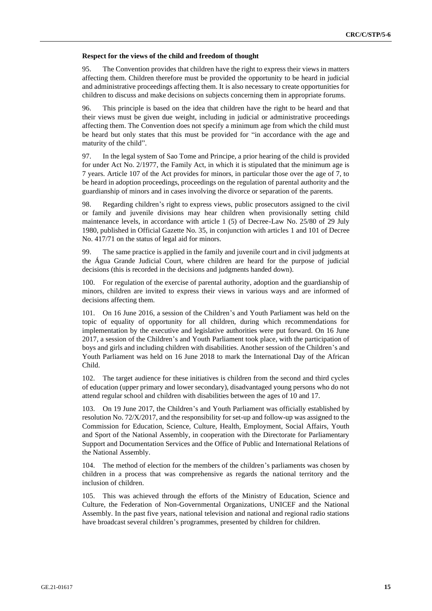#### **Respect for the views of the child and freedom of thought**

95. The Convention provides that children have the right to express their views in matters affecting them. Children therefore must be provided the opportunity to be heard in judicial and administrative proceedings affecting them. It is also necessary to create opportunities for children to discuss and make decisions on subjects concerning them in appropriate forums.

96. This principle is based on the idea that children have the right to be heard and that their views must be given due weight, including in judicial or administrative proceedings affecting them. The Convention does not specify a minimum age from which the child must be heard but only states that this must be provided for "in accordance with the age and maturity of the child".

97. In the legal system of Sao Tome and Principe, a prior hearing of the child is provided for under Act No. 2/1977, the Family Act, in which it is stipulated that the minimum age is 7 years. Article 107 of the Act provides for minors, in particular those over the age of 7, to be heard in adoption proceedings, proceedings on the regulation of parental authority and the guardianship of minors and in cases involving the divorce or separation of the parents.

98. Regarding children's right to express views, public prosecutors assigned to the civil or family and juvenile divisions may hear children when provisionally setting child maintenance levels, in accordance with article 1 (5) of Decree-Law No. 25/80 of 29 July 1980, published in Official Gazette No. 35, in conjunction with articles 1 and 101 of Decree No. 417/71 on the status of legal aid for minors.

99. The same practice is applied in the family and juvenile court and in civil judgments at the Água Grande Judicial Court, where children are heard for the purpose of judicial decisions (this is recorded in the decisions and judgments handed down).

100. For regulation of the exercise of parental authority, adoption and the guardianship of minors, children are invited to express their views in various ways and are informed of decisions affecting them.

101. On 16 June 2016, a session of the Children's and Youth Parliament was held on the topic of equality of opportunity for all children, during which recommendations for implementation by the executive and legislative authorities were put forward. On 16 June 2017, a session of the Children's and Youth Parliament took place, with the participation of boys and girls and including children with disabilities. Another session of the Children's and Youth Parliament was held on 16 June 2018 to mark the International Day of the African Child.

102. The target audience for these initiatives is children from the second and third cycles of education (upper primary and lower secondary), disadvantaged young persons who do not attend regular school and children with disabilities between the ages of 10 and 17.

103. On 19 June 2017, the Children's and Youth Parliament was officially established by resolution No. 72/X/2017, and the responsibility for set-up and follow-up was assigned to the Commission for Education, Science, Culture, Health, Employment, Social Affairs, Youth and Sport of the National Assembly, in cooperation with the Directorate for Parliamentary Support and Documentation Services and the Office of Public and International Relations of the National Assembly.

104. The method of election for the members of the children's parliaments was chosen by children in a process that was comprehensive as regards the national territory and the inclusion of children.

105. This was achieved through the efforts of the Ministry of Education, Science and Culture, the Federation of Non-Governmental Organizations, UNICEF and the National Assembly. In the past five years, national television and national and regional radio stations have broadcast several children's programmes, presented by children for children.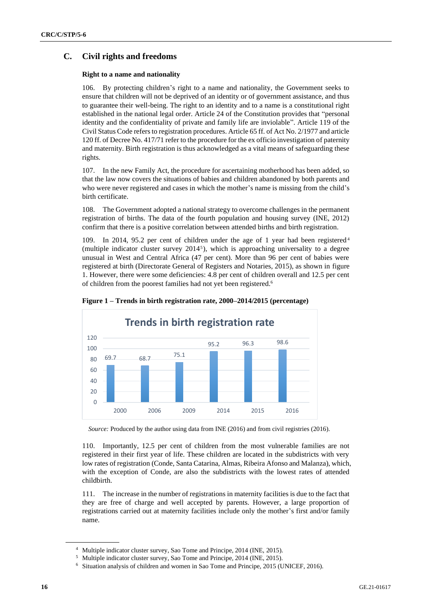# **C. Civil rights and freedoms**

### **Right to a name and nationality**

106. By protecting children's right to a name and nationality, the Government seeks to ensure that children will not be deprived of an identity or of government assistance, and thus to guarantee their well-being. The right to an identity and to a name is a constitutional right established in the national legal order. Article 24 of the Constitution provides that "personal identity and the confidentiality of private and family life are inviolable". Article 119 of the Civil Status Code refers to registration procedures. Article 65 ff. of Act No. 2/1977 and article 120 ff. of Decree No. 417/71 refer to the procedure for the ex officio investigation of paternity and maternity. Birth registration is thus acknowledged as a vital means of safeguarding these rights.

107. In the new Family Act, the procedure for ascertaining motherhood has been added, so that the law now covers the situations of babies and children abandoned by both parents and who were never registered and cases in which the mother's name is missing from the child's birth certificate.

108. The Government adopted a national strategy to overcome challenges in the permanent registration of births. The data of the fourth population and housing survey (INE, 2012) confirm that there is a positive correlation between attended births and birth registration.

109. In 2014, 95.2 per cent of children under the age of 1 year had been registered<sup>4</sup> (multiple indicator cluster survey 2014<sup>5</sup> ), which is approaching universality to a degree unusual in West and Central Africa (47 per cent). More than 96 per cent of babies were registered at birth (Directorate General of Registers and Notaries, 2015), as shown in figure 1. However, there were some deficiencies: 4.8 per cent of children overall and 12.5 per cent of children from the poorest families had not yet been registered.<sup>6</sup>



#### **Figure 1 – Trends in birth registration rate, 2000–2014/2015 (percentage)**

*Source:* Produced by the author using data from INE (2016) and from civil registries (2016).

110. Importantly, 12.5 per cent of children from the most vulnerable families are not registered in their first year of life. These children are located in the subdistricts with very low rates of registration (Conde, Santa Catarina, Almas, Ribeira Afonso and Malanza), which, with the exception of Conde, are also the subdistricts with the lowest rates of attended childbirth.

111. The increase in the number of registrations in maternity facilities is due to the fact that they are free of charge and well accepted by parents. However, a large proportion of registrations carried out at maternity facilities include only the mother's first and/or family name.

<sup>4</sup> Multiple indicator cluster survey, Sao Tome and Principe, 2014 (INE, 2015).

<sup>5</sup> Multiple indicator cluster survey, Sao Tome and Principe, 2014 (INE, 2015).

<sup>6</sup> Situation analysis of children and women in Sao Tome and Principe, 2015 (UNICEF, 2016).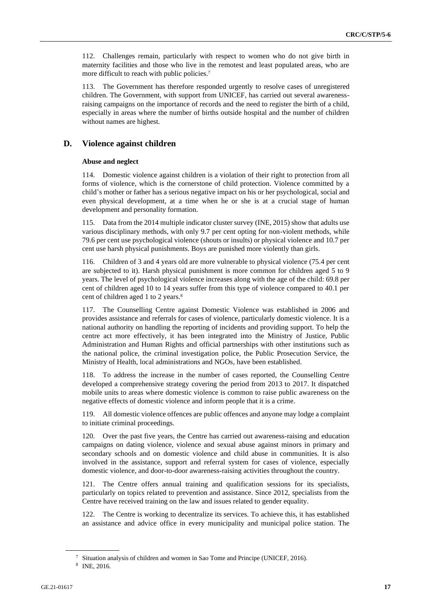112. Challenges remain, particularly with respect to women who do not give birth in maternity facilities and those who live in the remotest and least populated areas, who are more difficult to reach with public policies.<sup>7</sup>

113. The Government has therefore responded urgently to resolve cases of unregistered children. The Government, with support from UNICEF, has carried out several awarenessraising campaigns on the importance of records and the need to register the birth of a child, especially in areas where the number of births outside hospital and the number of children without names are highest.

### **D. Violence against children**

#### **Abuse and neglect**

114. Domestic violence against children is a violation of their right to protection from all forms of violence, which is the cornerstone of child protection. Violence committed by a child's mother or father has a serious negative impact on his or her psychological, social and even physical development, at a time when he or she is at a crucial stage of human development and personality formation.

115. Data from the 2014 multiple indicator cluster survey (INE, 2015) show that adults use various disciplinary methods, with only 9.7 per cent opting for non-violent methods, while 79.6 per cent use psychological violence (shouts or insults) or physical violence and 10.7 per cent use harsh physical punishments. Boys are punished more violently than girls.

116. Children of 3 and 4 years old are more vulnerable to physical violence (75.4 per cent are subjected to it). Harsh physical punishment is more common for children aged 5 to 9 years. The level of psychological violence increases along with the age of the child: 69.8 per cent of children aged 10 to 14 years suffer from this type of violence compared to 40.1 per cent of children aged 1 to 2 years.<sup>8</sup>

117. The Counselling Centre against Domestic Violence was established in 2006 and provides assistance and referrals for cases of violence, particularly domestic violence. It is a national authority on handling the reporting of incidents and providing support. To help the centre act more effectively, it has been integrated into the Ministry of Justice, Public Administration and Human Rights and official partnerships with other institutions such as the national police, the criminal investigation police, the Public Prosecution Service, the Ministry of Health, local administrations and NGOs, have been established.

118. To address the increase in the number of cases reported, the Counselling Centre developed a comprehensive strategy covering the period from 2013 to 2017. It dispatched mobile units to areas where domestic violence is common to raise public awareness on the negative effects of domestic violence and inform people that it is a crime.

119. All domestic violence offences are public offences and anyone may lodge a complaint to initiate criminal proceedings.

120. Over the past five years, the Centre has carried out awareness-raising and education campaigns on dating violence, violence and sexual abuse against minors in primary and secondary schools and on domestic violence and child abuse in communities. It is also involved in the assistance, support and referral system for cases of violence, especially domestic violence, and door-to-door awareness-raising activities throughout the country.

121. The Centre offers annual training and qualification sessions for its specialists, particularly on topics related to prevention and assistance. Since 2012, specialists from the Centre have received training on the law and issues related to gender equality.

122. The Centre is working to decentralize its services. To achieve this, it has established an assistance and advice office in every municipality and municipal police station. The

<sup>7</sup> Situation analysis of children and women in Sao Tome and Principe (UNICEF, 2016).

<sup>8</sup> INE, 2016.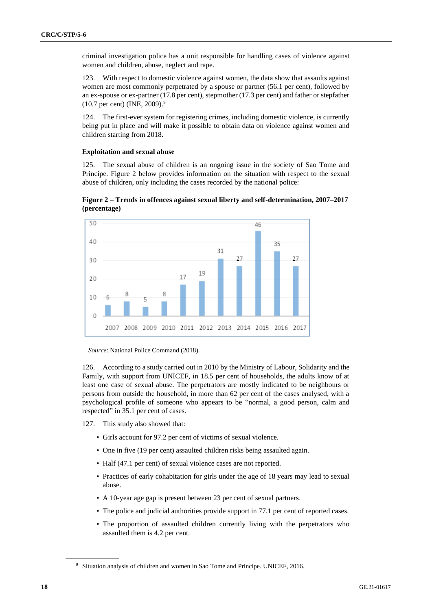criminal investigation police has a unit responsible for handling cases of violence against women and children, abuse, neglect and rape.

123. With respect to domestic violence against women, the data show that assaults against women are most commonly perpetrated by a spouse or partner (56.1 per cent), followed by an ex-spouse or ex-partner (17.8 per cent), stepmother (17.3 per cent) and father or stepfather (10.7 per cent) (INE, 2009).<sup>9</sup>

124. The first-ever system for registering crimes, including domestic violence, is currently being put in place and will make it possible to obtain data on violence against women and children starting from 2018.

#### **Exploitation and sexual abuse**

125. The sexual abuse of children is an ongoing issue in the society of Sao Tome and Principe. Figure 2 below provides information on the situation with respect to the sexual abuse of children, only including the cases recorded by the national police:

**Figure 2 – Trends in offences against sexual liberty and self-determination, 2007–2017 (percentage)**



*Source*: National Police Command (2018).

126. According to a study carried out in 2010 by the Ministry of Labour, Solidarity and the Family, with support from UNICEF, in 18.5 per cent of households, the adults know of at least one case of sexual abuse. The perpetrators are mostly indicated to be neighbours or persons from outside the household, in more than 62 per cent of the cases analysed, with a psychological profile of someone who appears to be "normal, a good person, calm and respected" in 35.1 per cent of cases.

- 127. This study also showed that:
	- Girls account for 97.2 per cent of victims of sexual violence.
	- One in five (19 per cent) assaulted children risks being assaulted again.
	- Half (47.1 per cent) of sexual violence cases are not reported.
	- Practices of early cohabitation for girls under the age of 18 years may lead to sexual abuse.
	- A 10-year age gap is present between 23 per cent of sexual partners.
	- The police and judicial authorities provide support in 77.1 per cent of reported cases.
	- The proportion of assaulted children currently living with the perpetrators who assaulted them is 4.2 per cent.

<sup>9</sup> Situation analysis of children and women in Sao Tome and Principe. UNICEF, 2016.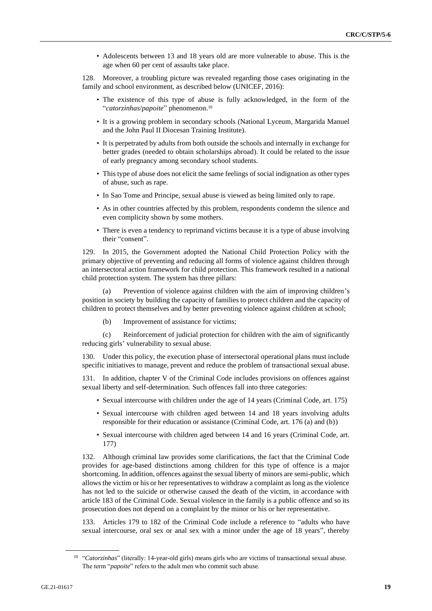• Adolescents between 13 and 18 years old are more vulnerable to abuse. This is the age when 60 per cent of assaults take place.

128. Moreover, a troubling picture was revealed regarding those cases originating in the family and school environment, as described below (UNICEF, 2016):

- The existence of this type of abuse is fully acknowledged, in the form of the "*catorzinhas*/*papoite*" phenomenon.<sup>10</sup>
- It is a growing problem in secondary schools (National Lyceum, Margarida Manuel and the John Paul II Diocesan Training Institute).
- It is perpetrated by adults from both outside the schools and internally in exchange for better grades (needed to obtain scholarships abroad). It could be related to the issue of early pregnancy among secondary school students.
- This type of abuse does not elicit the same feelings of social indignation as other types of abuse, such as rape.
- In Sao Tome and Principe, sexual abuse is viewed as being limited only to rape.
- As in other countries affected by this problem, respondents condemn the silence and even complicity shown by some mothers.
- There is even a tendency to reprimand victims because it is a type of abuse involving their "consent".

129. In 2015, the Government adopted the National Child Protection Policy with the primary objective of preventing and reducing all forms of violence against children through an intersectoral action framework for child protection. This framework resulted in a national child protection system. The system has three pillars:

(a) Prevention of violence against children with the aim of improving children's position in society by building the capacity of families to protect children and the capacity of children to protect themselves and by better preventing violence against children at school;

(b) Improvement of assistance for victims;

(c) Reinforcement of judicial protection for children with the aim of significantly reducing girls' vulnerability to sexual abuse.

130. Under this policy, the execution phase of intersectoral operational plans must include specific initiatives to manage, prevent and reduce the problem of transactional sexual abuse.

131. In addition, chapter V of the Criminal Code includes provisions on offences against sexual liberty and self-determination. Such offences fall into three categories:

- Sexual intercourse with children under the age of 14 years (Criminal Code, art. 175)
- Sexual intercourse with children aged between 14 and 18 years involving adults responsible for their education or assistance (Criminal Code, art. 176 (a) and (b))
- Sexual intercourse with children aged between 14 and 16 years (Criminal Code, art. 177)

132. Although criminal law provides some clarifications, the fact that the Criminal Code provides for age-based distinctions among children for this type of offence is a major shortcoming. In addition, offences against the sexual liberty of minors are semi-public, which allows the victim or his or her representatives to withdraw a complaint as long as the violence has not led to the suicide or otherwise caused the death of the victim, in accordance with article 183 of the Criminal Code. Sexual violence in the family is a public offence and so its prosecution does not depend on a complaint by the minor or his or her representative.

133. Articles 179 to 182 of the Criminal Code include a reference to "adults who have sexual intercourse, oral sex or anal sex with a minor under the age of 18 years", thereby

<sup>&</sup>lt;sup>10</sup> "Catorzinhas" (literally: 14-year-old girls) means girls who are victims of transactional sexual abuse. The term "*papoite*" refers to the adult men who commit such abuse.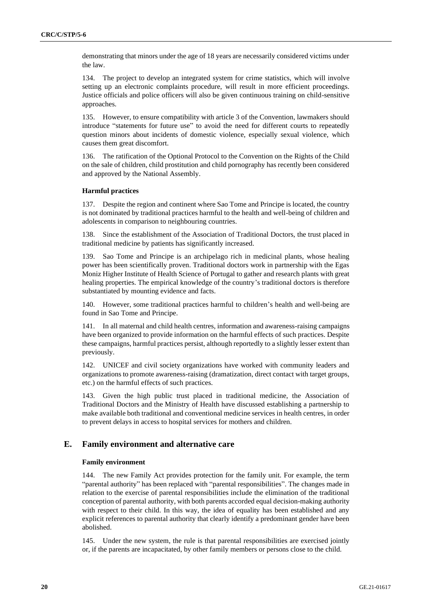demonstrating that minors under the age of 18 years are necessarily considered victims under the law.

134. The project to develop an integrated system for crime statistics, which will involve setting up an electronic complaints procedure, will result in more efficient proceedings. Justice officials and police officers will also be given continuous training on child-sensitive approaches.

135. However, to ensure compatibility with article 3 of the Convention, lawmakers should introduce "statements for future use" to avoid the need for different courts to repeatedly question minors about incidents of domestic violence, especially sexual violence, which causes them great discomfort.

136. The ratification of the Optional Protocol to the Convention on the Rights of the Child on the sale of children, child prostitution and child pornography has recently been considered and approved by the National Assembly.

#### **Harmful practices**

137. Despite the region and continent where Sao Tome and Principe is located, the country is not dominated by traditional practices harmful to the health and well-being of children and adolescents in comparison to neighbouring countries.

138. Since the establishment of the Association of Traditional Doctors, the trust placed in traditional medicine by patients has significantly increased.

139. Sao Tome and Principe is an archipelago rich in medicinal plants, whose healing power has been scientifically proven. Traditional doctors work in partnership with the Egas Moniz Higher Institute of Health Science of Portugal to gather and research plants with great healing properties. The empirical knowledge of the country's traditional doctors is therefore substantiated by mounting evidence and facts.

140. However, some traditional practices harmful to children's health and well-being are found in Sao Tome and Principe.

141. In all maternal and child health centres, information and awareness-raising campaigns have been organized to provide information on the harmful effects of such practices. Despite these campaigns, harmful practices persist, although reportedly to a slightly lesser extent than previously.

142. UNICEF and civil society organizations have worked with community leaders and organizations to promote awareness-raising (dramatization, direct contact with target groups, etc.) on the harmful effects of such practices.

143. Given the high public trust placed in traditional medicine, the Association of Traditional Doctors and the Ministry of Health have discussed establishing a partnership to make available both traditional and conventional medicine services in health centres, in order to prevent delays in access to hospital services for mothers and children.

## **E. Family environment and alternative care**

#### **Family environment**

144. The new Family Act provides protection for the family unit. For example, the term "parental authority" has been replaced with "parental responsibilities". The changes made in relation to the exercise of parental responsibilities include the elimination of the traditional conception of parental authority, with both parents accorded equal decision-making authority with respect to their child. In this way, the idea of equality has been established and any explicit references to parental authority that clearly identify a predominant gender have been abolished.

145. Under the new system, the rule is that parental responsibilities are exercised jointly or, if the parents are incapacitated, by other family members or persons close to the child.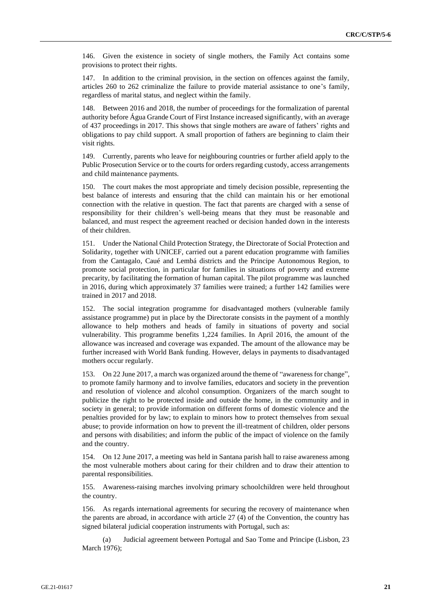146. Given the existence in society of single mothers, the Family Act contains some provisions to protect their rights.

147. In addition to the criminal provision, in the section on offences against the family, articles 260 to 262 criminalize the failure to provide material assistance to one's family, regardless of marital status, and neglect within the family.

148. Between 2016 and 2018, the number of proceedings for the formalization of parental authority before Água Grande Court of First Instance increased significantly, with an average of 437 proceedings in 2017. This shows that single mothers are aware of fathers' rights and obligations to pay child support. A small proportion of fathers are beginning to claim their visit rights.

149. Currently, parents who leave for neighbouring countries or further afield apply to the Public Prosecution Service or to the courts for orders regarding custody, access arrangements and child maintenance payments.

150. The court makes the most appropriate and timely decision possible, representing the best balance of interests and ensuring that the child can maintain his or her emotional connection with the relative in question. The fact that parents are charged with a sense of responsibility for their children's well-being means that they must be reasonable and balanced, and must respect the agreement reached or decision handed down in the interests of their children.

151. Under the National Child Protection Strategy, the Directorate of Social Protection and Solidarity, together with UNICEF, carried out a parent education programme with families from the Cantagalo, Caué and Lembá districts and the Principe Autonomous Region, to promote social protection, in particular for families in situations of poverty and extreme precarity, by facilitating the formation of human capital. The pilot programme was launched in 2016, during which approximately 37 families were trained; a further 142 families were trained in 2017 and 2018.

152. The social integration programme for disadvantaged mothers (vulnerable family assistance programme) put in place by the Directorate consists in the payment of a monthly allowance to help mothers and heads of family in situations of poverty and social vulnerability. This programme benefits 1,224 families. In April 2016, the amount of the allowance was increased and coverage was expanded. The amount of the allowance may be further increased with World Bank funding. However, delays in payments to disadvantaged mothers occur regularly.

153. On 22 June 2017, a march was organized around the theme of "awareness for change", to promote family harmony and to involve families, educators and society in the prevention and resolution of violence and alcohol consumption. Organizers of the march sought to publicize the right to be protected inside and outside the home, in the community and in society in general; to provide information on different forms of domestic violence and the penalties provided for by law; to explain to minors how to protect themselves from sexual abuse; to provide information on how to prevent the ill-treatment of children, older persons and persons with disabilities; and inform the public of the impact of violence on the family and the country.

154. On 12 June 2017, a meeting was held in Santana parish hall to raise awareness among the most vulnerable mothers about caring for their children and to draw their attention to parental responsibilities.

155. Awareness-raising marches involving primary schoolchildren were held throughout the country.

156. As regards international agreements for securing the recovery of maintenance when the parents are abroad, in accordance with article 27 (4) of the Convention, the country has signed bilateral judicial cooperation instruments with Portugal, such as:

(a) Judicial agreement between Portugal and Sao Tome and Principe (Lisbon, 23 March 1976);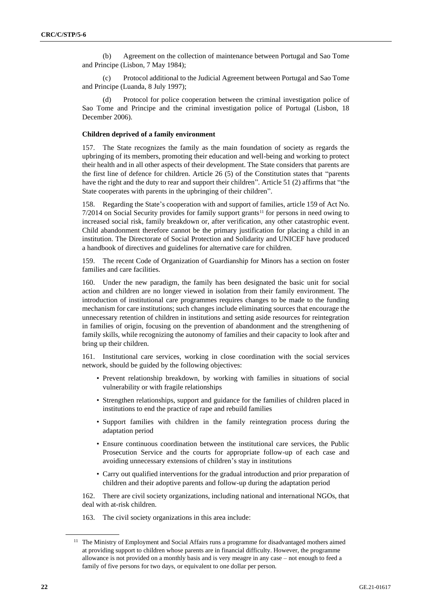(b) Agreement on the collection of maintenance between Portugal and Sao Tome and Principe (Lisbon, 7 May 1984);

(c) Protocol additional to the Judicial Agreement between Portugal and Sao Tome and Principe (Luanda, 8 July 1997);

(d) Protocol for police cooperation between the criminal investigation police of Sao Tome and Principe and the criminal investigation police of Portugal (Lisbon, 18 December 2006).

#### **Children deprived of a family environment**

157. The State recognizes the family as the main foundation of society as regards the upbringing of its members, promoting their education and well-being and working to protect their health and in all other aspects of their development. The State considers that parents are the first line of defence for children. Article 26 (5) of the Constitution states that "parents have the right and the duty to rear and support their children". Article 51 (2) affirms that "the State cooperates with parents in the upbringing of their children".

158. Regarding the State's cooperation with and support of families, article 159 of Act No.  $7/2014$  on Social Security provides for family support grants<sup>11</sup> for persons in need owing to increased social risk, family breakdown or, after verification, any other catastrophic event. Child abandonment therefore cannot be the primary justification for placing a child in an institution. The Directorate of Social Protection and Solidarity and UNICEF have produced a handbook of directives and guidelines for alternative care for children.

159. The recent Code of Organization of Guardianship for Minors has a section on foster families and care facilities.

160. Under the new paradigm, the family has been designated the basic unit for social action and children are no longer viewed in isolation from their family environment. The introduction of institutional care programmes requires changes to be made to the funding mechanism for care institutions; such changes include eliminating sources that encourage the unnecessary retention of children in institutions and setting aside resources for reintegration in families of origin, focusing on the prevention of abandonment and the strengthening of family skills, while recognizing the autonomy of families and their capacity to look after and bring up their children.

161. Institutional care services, working in close coordination with the social services network, should be guided by the following objectives:

- Prevent relationship breakdown, by working with families in situations of social vulnerability or with fragile relationships
- Strengthen relationships, support and guidance for the families of children placed in institutions to end the practice of rape and rebuild families
- Support families with children in the family reintegration process during the adaptation period
- Ensure continuous coordination between the institutional care services, the Public Prosecution Service and the courts for appropriate follow-up of each case and avoiding unnecessary extensions of children's stay in institutions
- Carry out qualified interventions for the gradual introduction and prior preparation of children and their adoptive parents and follow-up during the adaptation period

162. There are civil society organizations, including national and international NGOs, that deal with at-risk children.

163. The civil society organizations in this area include:

<sup>&</sup>lt;sup>11</sup> The Ministry of Employment and Social Affairs runs a programme for disadvantaged mothers aimed at providing support to children whose parents are in financial difficulty. However, the programme allowance is not provided on a monthly basis and is very meagre in any case – not enough to feed a family of five persons for two days, or equivalent to one dollar per person.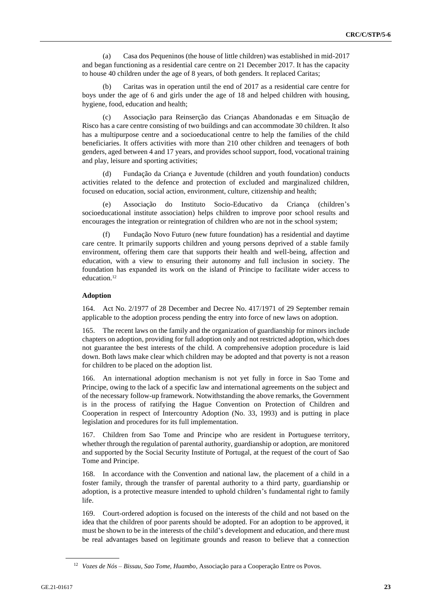(a) Casa dos Pequeninos (the house of little children) was established in mid-2017 and began functioning as a residential care centre on 21 December 2017. It has the capacity to house 40 children under the age of 8 years, of both genders. It replaced Caritas;

(b) Caritas was in operation until the end of 2017 as a residential care centre for boys under the age of 6 and girls under the age of 18 and helped children with housing, hygiene, food, education and health;

(c) Associação para Reinserção das Crianças Abandonadas e em Situação de Risco has a care centre consisting of two buildings and can accommodate 30 children. It also has a multipurpose centre and a socioeducational centre to help the families of the child beneficiaries. It offers activities with more than 210 other children and teenagers of both genders, aged between 4 and 17 years, and provides school support, food, vocational training and play, leisure and sporting activities;

(d) Fundação da Criança e Juventude (children and youth foundation) conducts activities related to the defence and protection of excluded and marginalized children, focused on education, social action, environment, culture, citizenship and health;

(e) Associação do Instituto Socio-Educativo da Criança (children's socioeducational institute association) helps children to improve poor school results and encourages the integration or reintegration of children who are not in the school system;

(f) Fundação Novo Futuro (new future foundation) has a residential and daytime care centre. It primarily supports children and young persons deprived of a stable family environment, offering them care that supports their health and well-being, affection and education, with a view to ensuring their autonomy and full inclusion in society. The foundation has expanded its work on the island of Principe to facilitate wider access to education.<sup>12</sup>

#### **Adoption**

164. Act No. 2/1977 of 28 December and Decree No. 417/1971 of 29 September remain applicable to the adoption process pending the entry into force of new laws on adoption.

165. The recent laws on the family and the organization of guardianship for minors include chapters on adoption, providing for full adoption only and not restricted adoption, which does not guarantee the best interests of the child. A comprehensive adoption procedure is laid down. Both laws make clear which children may be adopted and that poverty is not a reason for children to be placed on the adoption list.

166. An international adoption mechanism is not yet fully in force in Sao Tome and Principe, owing to the lack of a specific law and international agreements on the subject and of the necessary follow-up framework. Notwithstanding the above remarks, the Government is in the process of ratifying the Hague Convention on Protection of Children and Cooperation in respect of Intercountry Adoption (No. 33, 1993) and is putting in place legislation and procedures for its full implementation.

167. Children from Sao Tome and Principe who are resident in Portuguese territory, whether through the regulation of parental authority, guardianship or adoption, are monitored and supported by the Social Security Institute of Portugal, at the request of the court of Sao Tome and Principe.

168. In accordance with the Convention and national law, the placement of a child in a foster family, through the transfer of parental authority to a third party, guardianship or adoption, is a protective measure intended to uphold children's fundamental right to family life.

169. Court-ordered adoption is focused on the interests of the child and not based on the idea that the children of poor parents should be adopted. For an adoption to be approved, it must be shown to be in the interests of the child's development and education, and there must be real advantages based on legitimate grounds and reason to believe that a connection

<sup>12</sup> *Vozes de Nós – Bissau, Sao Tome, Huambo*, Associação para a Cooperação Entre os Povos.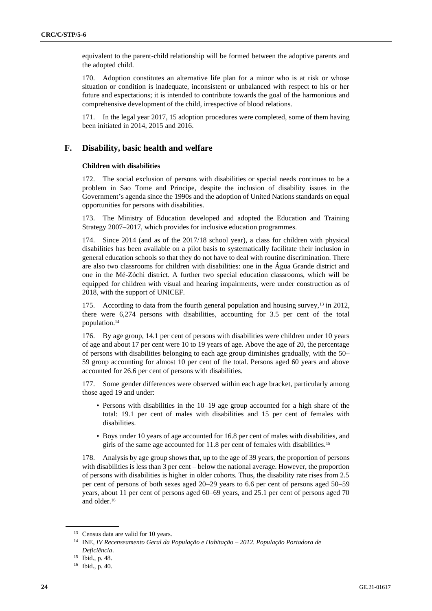equivalent to the parent-child relationship will be formed between the adoptive parents and the adopted child.

170. Adoption constitutes an alternative life plan for a minor who is at risk or whose situation or condition is inadequate, inconsistent or unbalanced with respect to his or her future and expectations; it is intended to contribute towards the goal of the harmonious and comprehensive development of the child, irrespective of blood relations.

171. In the legal year 2017, 15 adoption procedures were completed, some of them having been initiated in 2014, 2015 and 2016.

## **F. Disability, basic health and welfare**

#### **Children with disabilities**

172. The social exclusion of persons with disabilities or special needs continues to be a problem in Sao Tome and Principe, despite the inclusion of disability issues in the Government's agenda since the 1990s and the adoption of United Nations standards on equal opportunities for persons with disabilities.

173. The Ministry of Education developed and adopted the Education and Training Strategy 2007–2017, which provides for inclusive education programmes.

174. Since 2014 (and as of the 2017/18 school year), a class for children with physical disabilities has been available on a pilot basis to systematically facilitate their inclusion in general education schools so that they do not have to deal with routine discrimination. There are also two classrooms for children with disabilities: one in the Água Grande district and one in the Mé-Zóchi district. A further two special education classrooms, which will be equipped for children with visual and hearing impairments, were under construction as of 2018, with the support of UNICEF.

175. According to data from the fourth general population and housing survey,<sup>13</sup> in 2012, there were 6,274 persons with disabilities, accounting for 3.5 per cent of the total population.<sup>14</sup>

176. By age group, 14.1 per cent of persons with disabilities were children under 10 years of age and about 17 per cent were 10 to 19 years of age. Above the age of 20, the percentage of persons with disabilities belonging to each age group diminishes gradually, with the 50– 59 group accounting for almost 10 per cent of the total. Persons aged 60 years and above accounted for 26.6 per cent of persons with disabilities.

177. Some gender differences were observed within each age bracket, particularly among those aged 19 and under:

- Persons with disabilities in the 10–19 age group accounted for a high share of the total: 19.1 per cent of males with disabilities and 15 per cent of females with disabilities.
- Boys under 10 years of age accounted for 16.8 per cent of males with disabilities, and girls of the same age accounted for 11.8 per cent of females with disabilities.<sup>15</sup>

178. Analysis by age group shows that, up to the age of 39 years, the proportion of persons with disabilities is less than 3 per cent – below the national average. However, the proportion of persons with disabilities is higher in older cohorts. Thus, the disability rate rises from 2.5 per cent of persons of both sexes aged 20–29 years to 6.6 per cent of persons aged 50–59 years, about 11 per cent of persons aged 60–69 years, and 25.1 per cent of persons aged 70 and older.<sup>16</sup>

<sup>&</sup>lt;sup>13</sup> Census data are valid for 10 years.

<sup>14</sup> INE, *IV Recenseamento Geral da População e Habitação – 2012. População Portadora de Deficiência*.

<sup>15</sup> Ibid., p. 48.

<sup>16</sup> Ibid., p. 40.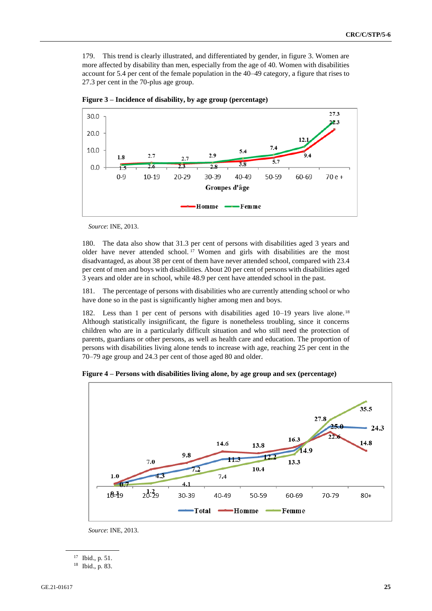179. This trend is clearly illustrated, and differentiated by gender, in figure 3. Women are more affected by disability than men, especially from the age of 40. Women with disabilities account for 5.4 per cent of the female population in the 40–49 category, a figure that rises to 27.3 per cent in the 70-plus age group.



**Figure 3 – Incidence of disability, by age group (percentage)**

*Source*: INE, 2013.

180. The data also show that 31.3 per cent of persons with disabilities aged 3 years and older have never attended school. <sup>17</sup> Women and girls with disabilities are the most disadvantaged, as about 38 per cent of them have never attended school, compared with 23.4 per cent of men and boys with disabilities. About 20 per cent of persons with disabilities aged 3 years and older are in school, while 48.9 per cent have attended school in the past.

181. The percentage of persons with disabilities who are currently attending school or who have done so in the past is significantly higher among men and boys.

182. Less than 1 per cent of persons with disabilities aged 10–19 years live alone.<sup>18</sup> Although statistically insignificant, the figure is nonetheless troubling, since it concerns children who are in a particularly difficult situation and who still need the protection of parents, guardians or other persons, as well as health care and education. The proportion of persons with disabilities living alone tends to increase with age, reaching 25 per cent in the 70–79 age group and 24.3 per cent of those aged 80 and older.





*Source*: INE, 2013.

<sup>17</sup> Ibid., p. 51.

<sup>18</sup> Ibid., p. 83.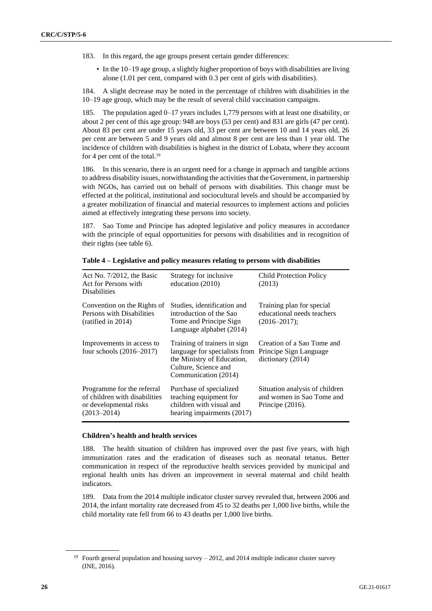- 183. In this regard, the age groups present certain gender differences:
	- In the 10–19 age group, a slightly higher proportion of boys with disabilities are living alone (1.01 per cent, compared with 0.3 per cent of girls with disabilities).

184. A slight decrease may be noted in the percentage of children with disabilities in the 10–19 age group, which may be the result of several child vaccination campaigns.

185. The population aged 0–17 years includes 1,779 persons with at least one disability, or about 2 per cent of this age group: 948 are boys (53 per cent) and 831 are girls (47 per cent). About 83 per cent are under 15 years old, 33 per cent are between 10 and 14 years old, 26 per cent are between 5 and 9 years old and almost 8 per cent are less than 1 year old. The incidence of children with disabilities is highest in the district of Lobata, where they account for 4 per cent of the total.<sup>19</sup>

186. In this scenario, there is an urgent need for a change in approach and tangible actions to address disability issues, notwithstanding the activities that the Government, in partnership with NGOs, has carried out on behalf of persons with disabilities. This change must be effected at the political, institutional and sociocultural levels and should be accompanied by a greater mobilization of financial and material resources to implement actions and policies aimed at effectively integrating these persons into society.

187. Sao Tome and Principe has adopted legislative and policy measures in accordance with the principle of equal opportunities for persons with disabilities and in recognition of their rights (see table 6).

| Act No. $7/2012$ , the Basic<br>Act for Persons with<br><b>Disabilities</b>                              | Strategy for inclusive.<br>education (2010)                                                                                                 | <b>Child Protection Policy</b><br>(2013)                                        |
|----------------------------------------------------------------------------------------------------------|---------------------------------------------------------------------------------------------------------------------------------------------|---------------------------------------------------------------------------------|
| Convention on the Rights of<br>Persons with Disabilities<br>(ratified in 2014)                           | Studies, identification and<br>introduction of the Sao<br>Tome and Principe Sign<br>Language alphabet (2014)                                | Training plan for special<br>educational needs teachers<br>$(2016 - 2017);$     |
| Improvements in access to<br>four schools $(2016-2017)$                                                  | Training of trainers in sign<br>language for specialists from<br>the Ministry of Education,<br>Culture, Science and<br>Communication (2014) | Creation of a Sao Tome and<br>Principe Sign Language<br>dictionary (2014)       |
| Programme for the referral<br>of children with disabilities<br>or developmental risks<br>$(2013 - 2014)$ | Purchase of specialized<br>teaching equipment for<br>children with visual and<br>hearing impairments (2017)                                 | Situation analysis of children<br>and women in Sao Tome and<br>Principe (2016). |

**Table 4 – Legislative and policy measures relating to persons with disabilities**

#### **Children's health and health services**

188. The health situation of children has improved over the past five years, with high immunization rates and the eradication of diseases such as neonatal tetanus. Better communication in respect of the reproductive health services provided by municipal and regional health units has driven an improvement in several maternal and child health indicators.

189. Data from the 2014 multiple indicator cluster survey revealed that, between 2006 and 2014, the infant mortality rate decreased from 45 to 32 deaths per 1,000 live births, while the child mortality rate fell from 66 to 43 deaths per 1,000 live births.

<sup>&</sup>lt;sup>19</sup> Fourth general population and housing survey  $-2012$ , and 2014 multiple indicator cluster survey (INE, 2016).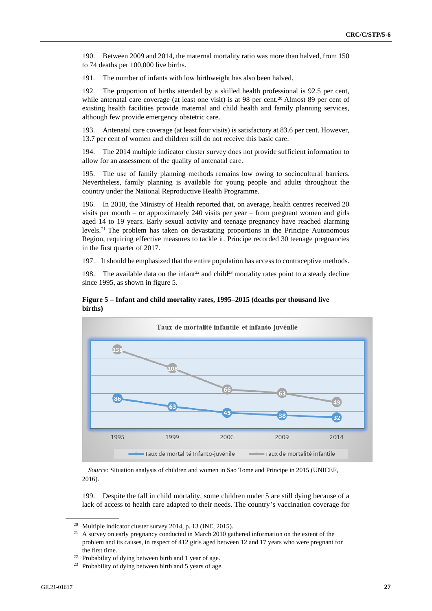190. Between 2009 and 2014, the maternal mortality ratio was more than halved, from 150 to 74 deaths per 100,000 live births.

191. The number of infants with low birthweight has also been halved.

192. The proportion of births attended by a skilled health professional is 92.5 per cent, while antenatal care coverage (at least one visit) is at 98 per cent.<sup>20</sup> Almost 89 per cent of existing health facilities provide maternal and child health and family planning services, although few provide emergency obstetric care.

193. Antenatal care coverage (at least four visits) is satisfactory at 83.6 per cent. However, 13.7 per cent of women and children still do not receive this basic care.

194. The 2014 multiple indicator cluster survey does not provide sufficient information to allow for an assessment of the quality of antenatal care.

195. The use of family planning methods remains low owing to sociocultural barriers. Nevertheless, family planning is available for young people and adults throughout the country under the National Reproductive Health Programme.

196. In 2018, the Ministry of Health reported that, on average, health centres received 20 visits per month – or approximately 240 visits per year – from pregnant women and girls aged 14 to 19 years. Early sexual activity and teenage pregnancy have reached alarming levels.<sup>21</sup> The problem has taken on devastating proportions in the Principe Autonomous Region, requiring effective measures to tackle it. Principe recorded 30 teenage pregnancies in the first quarter of 2017.

197. It should be emphasized that the entire population has access to contraceptive methods.

198. The available data on the infant<sup>22</sup> and child<sup>23</sup> mortality rates point to a steady decline since 1995, as shown in figure 5.





*Source:* Situation analysis of children and women in Sao Tome and Principe in 2015 (UNICEF, 2016).

199. Despite the fall in child mortality, some children under 5 are still dying because of a lack of access to health care adapted to their needs. The country's vaccination coverage for

<sup>20</sup> Multiple indicator cluster survey 2014, p. 13 (INE, 2015).

<sup>&</sup>lt;sup>21</sup> A survey on early pregnancy conducted in March 2010 gathered information on the extent of the problem and its causes, in respect of 412 girls aged between 12 and 17 years who were pregnant for the first time.

<sup>22</sup> Probability of dying between birth and 1 year of age.

<sup>23</sup> Probability of dying between birth and 5 years of age.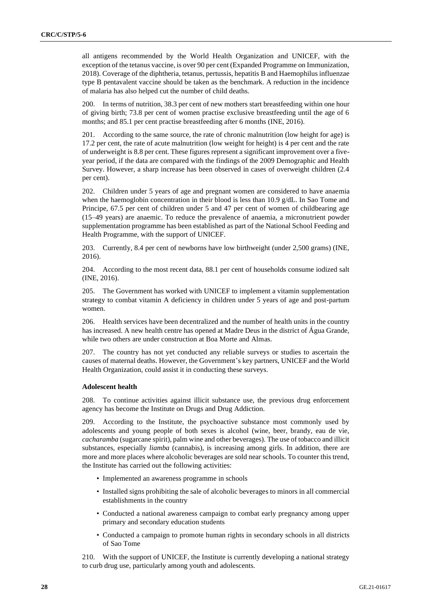all antigens recommended by the World Health Organization and UNICEF, with the exception of the tetanus vaccine, is over 90 per cent (Expanded Programme on Immunization, 2018). Coverage of the diphtheria, tetanus, pertussis, hepatitis B and Haemophilus influenzae type B pentavalent vaccine should be taken as the benchmark. A reduction in the incidence of malaria has also helped cut the number of child deaths.

200. In terms of nutrition, 38.3 per cent of new mothers start breastfeeding within one hour of giving birth; 73.8 per cent of women practise exclusive breastfeeding until the age of 6 months; and 85.1 per cent practise breastfeeding after 6 months (INE, 2016).

201. According to the same source, the rate of chronic malnutrition (low height for age) is 17.2 per cent, the rate of acute malnutrition (low weight for height) is 4 per cent and the rate of underweight is 8.8 per cent. These figures represent a significant improvement over a fiveyear period, if the data are compared with the findings of the 2009 Demographic and Health Survey. However, a sharp increase has been observed in cases of overweight children (2.4 per cent).

202. Children under 5 years of age and pregnant women are considered to have anaemia when the haemoglobin concentration in their blood is less than 10.9 g/dL. In Sao Tome and Principe, 67.5 per cent of children under 5 and 47 per cent of women of childbearing age (15–49 years) are anaemic. To reduce the prevalence of anaemia, a micronutrient powder supplementation programme has been established as part of the National School Feeding and Health Programme, with the support of UNICEF.

203. Currently, 8.4 per cent of newborns have low birthweight (under 2,500 grams) (INE, 2016).

204. According to the most recent data, 88.1 per cent of households consume iodized salt (INE, 2016).

205. The Government has worked with UNICEF to implement a vitamin supplementation strategy to combat vitamin A deficiency in children under 5 years of age and post-partum women.

206. Health services have been decentralized and the number of health units in the country has increased. A new health centre has opened at Madre Deus in the district of Água Grande, while two others are under construction at Boa Morte and Almas.

207. The country has not yet conducted any reliable surveys or studies to ascertain the causes of maternal deaths. However, the Government's key partners, UNICEF and the World Health Organization, could assist it in conducting these surveys.

#### **Adolescent health**

208. To continue activities against illicit substance use, the previous drug enforcement agency has become the Institute on Drugs and Drug Addiction.

209. According to the Institute, the psychoactive substance most commonly used by adolescents and young people of both sexes is alcohol (wine, beer, brandy, eau de vie, *cacharamba* (sugarcane spirit), palm wine and other beverages). The use of tobacco and illicit substances, especially *liamba* (cannabis), is increasing among girls. In addition, there are more and more places where alcoholic beverages are sold near schools. To counter this trend, the Institute has carried out the following activities:

- Implemented an awareness programme in schools
- Installed signs prohibiting the sale of alcoholic beverages to minors in all commercial establishments in the country
- Conducted a national awareness campaign to combat early pregnancy among upper primary and secondary education students
- Conducted a campaign to promote human rights in secondary schools in all districts of Sao Tome

210. With the support of UNICEF, the Institute is currently developing a national strategy to curb drug use, particularly among youth and adolescents.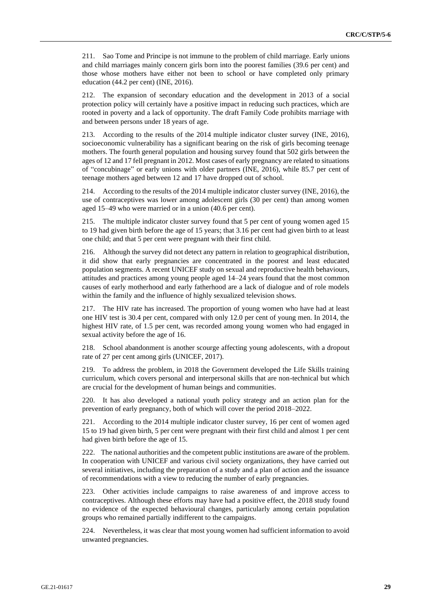211. Sao Tome and Principe is not immune to the problem of child marriage. Early unions and child marriages mainly concern girls born into the poorest families (39.6 per cent) and those whose mothers have either not been to school or have completed only primary education (44.2 per cent) (INE, 2016).

212. The expansion of secondary education and the development in 2013 of a social protection policy will certainly have a positive impact in reducing such practices, which are rooted in poverty and a lack of opportunity. The draft Family Code prohibits marriage with and between persons under 18 years of age.

213. According to the results of the 2014 multiple indicator cluster survey (INE, 2016), socioeconomic vulnerability has a significant bearing on the risk of girls becoming teenage mothers. The fourth general population and housing survey found that 502 girls between the ages of 12 and 17 fell pregnant in 2012. Most cases of early pregnancy are related to situations of "concubinage" or early unions with older partners (INE, 2016), while 85.7 per cent of teenage mothers aged between 12 and 17 have dropped out of school.

214. According to the results of the 2014 multiple indicator cluster survey (INE, 2016), the use of contraceptives was lower among adolescent girls (30 per cent) than among women aged 15–49 who were married or in a union (40.6 per cent).

215. The multiple indicator cluster survey found that 5 per cent of young women aged 15 to 19 had given birth before the age of 15 years; that 3.16 per cent had given birth to at least one child; and that 5 per cent were pregnant with their first child.

216. Although the survey did not detect any pattern in relation to geographical distribution, it did show that early pregnancies are concentrated in the poorest and least educated population segments. A recent UNICEF study on sexual and reproductive health behaviours, attitudes and practices among young people aged 14–24 years found that the most common causes of early motherhood and early fatherhood are a lack of dialogue and of role models within the family and the influence of highly sexualized television shows.

217. The HIV rate has increased. The proportion of young women who have had at least one HIV test is 30.4 per cent, compared with only 12.0 per cent of young men. In 2014, the highest HIV rate, of 1.5 per cent, was recorded among young women who had engaged in sexual activity before the age of 16.

218. School abandonment is another scourge affecting young adolescents, with a dropout rate of 27 per cent among girls (UNICEF, 2017).

219. To address the problem, in 2018 the Government developed the Life Skills training curriculum, which covers personal and interpersonal skills that are non-technical but which are crucial for the development of human beings and communities.

220. It has also developed a national youth policy strategy and an action plan for the prevention of early pregnancy, both of which will cover the period 2018–2022.

221. According to the 2014 multiple indicator cluster survey, 16 per cent of women aged 15 to 19 had given birth, 5 per cent were pregnant with their first child and almost 1 per cent had given birth before the age of 15.

222. The national authorities and the competent public institutions are aware of the problem. In cooperation with UNICEF and various civil society organizations, they have carried out several initiatives, including the preparation of a study and a plan of action and the issuance of recommendations with a view to reducing the number of early pregnancies.

223. Other activities include campaigns to raise awareness of and improve access to contraceptives. Although these efforts may have had a positive effect, the 2018 study found no evidence of the expected behavioural changes, particularly among certain population groups who remained partially indifferent to the campaigns.

224. Nevertheless, it was clear that most young women had sufficient information to avoid unwanted pregnancies.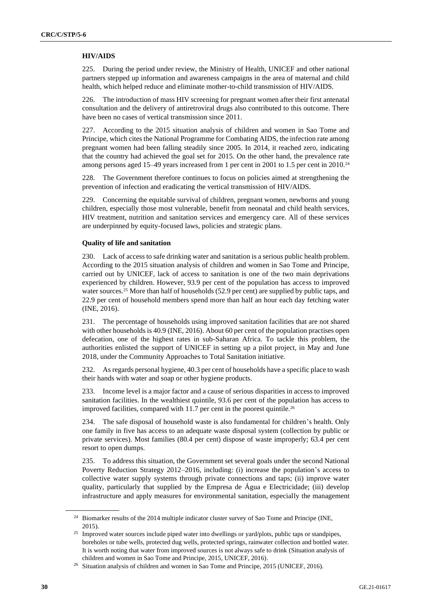### **HIV/AIDS**

225. During the period under review, the Ministry of Health, UNICEF and other national partners stepped up information and awareness campaigns in the area of maternal and child health, which helped reduce and eliminate mother-to-child transmission of HIV/AIDS.

226. The introduction of mass HIV screening for pregnant women after their first antenatal consultation and the delivery of antiretroviral drugs also contributed to this outcome. There have been no cases of vertical transmission since 2011.

227. According to the 2015 situation analysis of children and women in Sao Tome and Principe, which cites the National Programme for Combating AIDS, the infection rate among pregnant women had been falling steadily since 2005. In 2014, it reached zero, indicating that the country had achieved the goal set for 2015. On the other hand, the prevalence rate among persons aged 15–49 years increased from 1 per cent in 2001 to 1.5 per cent in 2010.<sup>24</sup>

228. The Government therefore continues to focus on policies aimed at strengthening the prevention of infection and eradicating the vertical transmission of HIV/AIDS.

229. Concerning the equitable survival of children, pregnant women, newborns and young children, especially those most vulnerable, benefit from neonatal and child health services, HIV treatment, nutrition and sanitation services and emergency care. All of these services are underpinned by equity-focused laws, policies and strategic plans.

### **Quality of life and sanitation**

230. Lack of access to safe drinking water and sanitation is a serious public health problem. According to the 2015 situation analysis of children and women in Sao Tome and Principe, carried out by UNICEF, lack of access to sanitation is one of the two main deprivations experienced by children. However, 93.9 per cent of the population has access to improved water sources.<sup>25</sup> More than half of households (52.9 per cent) are supplied by public taps, and 22.9 per cent of household members spend more than half an hour each day fetching water (INE, 2016).

231. The percentage of households using improved sanitation facilities that are not shared with other households is 40.9 (INE, 2016). About 60 per cent of the population practises open defecation, one of the highest rates in sub-Saharan Africa. To tackle this problem, the authorities enlisted the support of UNICEF in setting up a pilot project, in May and June 2018, under the Community Approaches to Total Sanitation initiative.

232. As regards personal hygiene, 40.3 per cent of households have a specific place to wash their hands with water and soap or other hygiene products.

233. Income level is a major factor and a cause of serious disparities in access to improved sanitation facilities. In the wealthiest quintile, 93.6 per cent of the population has access to improved facilities, compared with 11.7 per cent in the poorest quintile.<sup>26</sup>

234. The safe disposal of household waste is also fundamental for children's health. Only one family in five has access to an adequate waste disposal system (collection by public or private services). Most families (80.4 per cent) dispose of waste improperly; 63.4 per cent resort to open dumps.

235. To address this situation, the Government set several goals under the second National Poverty Reduction Strategy 2012–2016, including: (i) increase the population's access to collective water supply systems through private connections and taps; (ii) improve water quality, particularly that supplied by the Empresa de Água e Electricidade; (iii) develop infrastructure and apply measures for environmental sanitation, especially the management

<sup>&</sup>lt;sup>24</sup> Biomarker results of the 2014 multiple indicator cluster survey of Sao Tome and Principe (INE, 2015).

<sup>&</sup>lt;sup>25</sup> Improved water sources include piped water into dwellings or yard/plots, public taps or standpipes, boreholes or tube wells, protected dug wells, protected springs, rainwater collection and bottled water. It is worth noting that water from improved sources is not always safe to drink (Situation analysis of children and women in Sao Tome and Principe, 2015, UNICEF, 2016).

<sup>&</sup>lt;sup>26</sup> Situation analysis of children and women in Sao Tome and Principe, 2015 (UNICEF, 2016).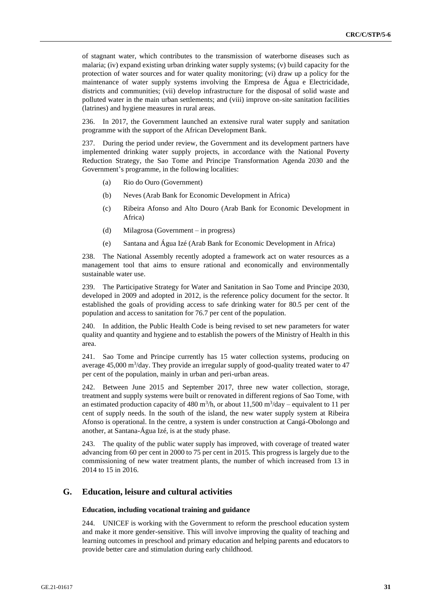of stagnant water, which contributes to the transmission of waterborne diseases such as malaria; (iv) expand existing urban drinking water supply systems; (v) build capacity for the protection of water sources and for water quality monitoring; (vi) draw up a policy for the maintenance of water supply systems involving the Empresa de Água e Electricidade, districts and communities; (vii) develop infrastructure for the disposal of solid waste and polluted water in the main urban settlements; and (viii) improve on-site sanitation facilities (latrines) and hygiene measures in rural areas.

236. In 2017, the Government launched an extensive rural water supply and sanitation programme with the support of the African Development Bank.

237. During the period under review, the Government and its development partners have implemented drinking water supply projects, in accordance with the National Poverty Reduction Strategy, the Sao Tome and Principe Transformation Agenda 2030 and the Government's programme, in the following localities:

- (a) Rio do Ouro (Government)
- (b) Neves (Arab Bank for Economic Development in Africa)
- (c) Ribeira Afonso and Alto Douro (Arab Bank for Economic Development in Africa)
- (d) Milagrosa (Government in progress)
- (e) Santana and Água Izé (Arab Bank for Economic Development in Africa)

238. The National Assembly recently adopted a framework act on water resources as a management tool that aims to ensure rational and economically and environmentally sustainable water use.

239. The Participative Strategy for Water and Sanitation in Sao Tome and Principe 2030, developed in 2009 and adopted in 2012, is the reference policy document for the sector. It established the goals of providing access to safe drinking water for 80.5 per cent of the population and access to sanitation for 76.7 per cent of the population.

240. In addition, the Public Health Code is being revised to set new parameters for water quality and quantity and hygiene and to establish the powers of the Ministry of Health in this area.

241. Sao Tome and Principe currently has 15 water collection systems, producing on average  $45,000 \text{ m}^3/\text{day}$ . They provide an irregular supply of good-quality treated water to  $47$ per cent of the population, mainly in urban and peri-urban areas.

242. Between June 2015 and September 2017, three new water collection, storage, treatment and supply systems were built or renovated in different regions of Sao Tome, with an estimated production capacity of 480 m<sup>3</sup>/h, or about 11,500 m<sup>3</sup>/day – equivalent to 11 per cent of supply needs. In the south of the island, the new water supply system at Ribeira Afonso is operational. In the centre, a system is under construction at Cangá-Obolongo and another, at Santana-Água Izé, is at the study phase.

243. The quality of the public water supply has improved, with coverage of treated water advancing from 60 per cent in 2000 to 75 per cent in 2015. This progress is largely due to the commissioning of new water treatment plants, the number of which increased from 13 in 2014 to 15 in 2016.

# **G. Education, leisure and cultural activities**

#### **Education, including vocational training and guidance**

244. UNICEF is working with the Government to reform the preschool education system and make it more gender-sensitive. This will involve improving the quality of teaching and learning outcomes in preschool and primary education and helping parents and educators to provide better care and stimulation during early childhood.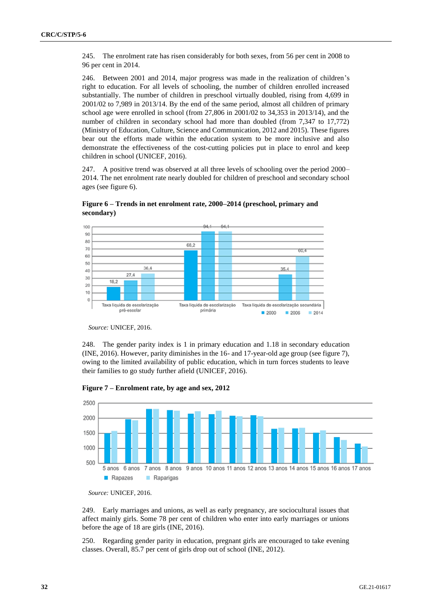245. The enrolment rate has risen considerably for both sexes, from 56 per cent in 2008 to 96 per cent in 2014.

246. Between 2001 and 2014, major progress was made in the realization of children's right to education. For all levels of schooling, the number of children enrolled increased substantially. The number of children in preschool virtually doubled, rising from 4,699 in 2001/02 to 7,989 in 2013/14. By the end of the same period, almost all children of primary school age were enrolled in school (from 27,806 in 2001/02 to 34,353 in 2013/14), and the number of children in secondary school had more than doubled (from 7,347 to 17,772) (Ministry of Education, Culture, Science and Communication, 2012 and 2015). These figures bear out the efforts made within the education system to be more inclusive and also demonstrate the effectiveness of the cost-cutting policies put in place to enrol and keep children in school (UNICEF, 2016).

247. A positive trend was observed at all three levels of schooling over the period 2000– 2014. The net enrolment rate nearly doubled for children of preschool and secondary school ages (see figure 6).



**Figure 6 – Trends in net enrolment rate, 2000–2014 (preschool, primary and secondary)**

*Source:* UNICEF, 2016.

248. The gender parity index is 1 in primary education and 1.18 in secondary education (INE, 2016). However, parity diminishes in the 16- and 17-year-old age group (see figure 7), owing to the limited availability of public education, which in turn forces students to leave their families to go study further afield (UNICEF, 2016).



**Figure 7 – Enrolment rate, by age and sex, 2012**

249. Early marriages and unions, as well as early pregnancy, are sociocultural issues that affect mainly girls. Some 78 per cent of children who enter into early marriages or unions before the age of 18 are girls (INE, 2016).

250. Regarding gender parity in education, pregnant girls are encouraged to take evening classes. Overall, 85.7 per cent of girls drop out of school (INE, 2012).

*Source:* UNICEF, 2016.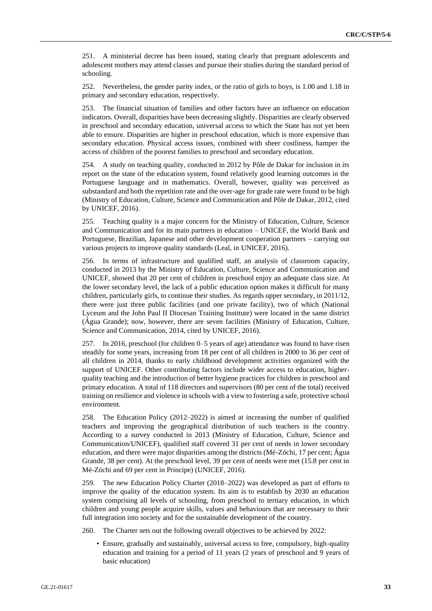251. A ministerial decree has been issued, stating clearly that pregnant adolescents and adolescent mothers may attend classes and pursue their studies during the standard period of schooling.

252. Nevertheless, the gender parity index, or the ratio of girls to boys, is 1.00 and 1.18 in primary and secondary education, respectively.

253. The financial situation of families and other factors have an influence on education indicators. Overall, disparities have been decreasing slightly. Disparities are clearly observed in preschool and secondary education, universal access to which the State has not yet been able to ensure. Disparities are higher in preschool education, which is more expensive than secondary education. Physical access issues, combined with sheer costliness, hamper the access of children of the poorest families to preschool and secondary education.

254. A study on teaching quality, conducted in 2012 by Pôle de Dakar for inclusion in its report on the state of the education system, found relatively good learning outcomes in the Portuguese language and in mathematics. Overall, however, quality was perceived as substandard and both the repetition rate and the over-age for grade rate were found to be high (Ministry of Education, Culture, Science and Communication and Pôle de Dakar, 2012, cited by UNICEF, 2016).

255. Teaching quality is a major concern for the Ministry of Education, Culture, Science and Communication and for its main partners in education – UNICEF, the World Bank and Portuguese, Brazilian, Japanese and other development cooperation partners – carrying out various projects to improve quality standards (Leal, in UNICEF, 2016).

256. In terms of infrastructure and qualified staff, an analysis of classroom capacity, conducted in 2013 by the Ministry of Education, Culture, Science and Communication and UNICEF, showed that 20 per cent of children in preschool enjoy an adequate class size. At the lower secondary level, the lack of a public education option makes it difficult for many children, particularly girls, to continue their studies. As regards upper secondary, in 2011/12, there were just three public facilities (and one private facility), two of which (National Lyceum and the John Paul II Diocesan Training Institute) were located in the same district (Água Grande); now, however, there are seven facilities (Ministry of Education, Culture, Science and Communication, 2014, cited by UNICEF, 2016).

257. In 2016, preschool (for children 0–5 years of age) attendance was found to have risen steadily for some years, increasing from 18 per cent of all children in 2000 to 36 per cent of all children in 2014, thanks to early childhood development activities organized with the support of UNICEF. Other contributing factors include wider access to education, higherquality teaching and the introduction of better hygiene practices for children in preschool and primary education. A total of 118 directors and supervisors (80 per cent of the total) received training on resilience and violence in schools with a view to fostering a safe, protective school environment.

258. The Education Policy (2012–2022) is aimed at increasing the number of qualified teachers and improving the geographical distribution of such teachers in the country. According to a survey conducted in 2013 (Ministry of Education, Culture, Science and Communication/UNICEF), qualified staff covered 31 per cent of needs in lower secondary education, and there were major disparities among the districts (Mé-Zóchi, 17 per cent; Água Grande, 38 per cent). At the preschool level, 39 per cent of needs were met (15.8 per cent in Mé-Zóchi and 69 per cent in Principe) (UNICEF, 2016).

259. The new Education Policy Charter (2018–2022) was developed as part of efforts to improve the quality of the education system. Its aim is to establish by 2030 an education system comprising all levels of schooling, from preschool to tertiary education, in which children and young people acquire skills, values and behaviours that are necessary to their full integration into society and for the sustainable development of the country.

260. The Charter sets out the following overall objectives to be achieved by 2022:

• Ensure, gradually and sustainably, universal access to free, compulsory, high-quality education and training for a period of 11 years (2 years of preschool and 9 years of basic education)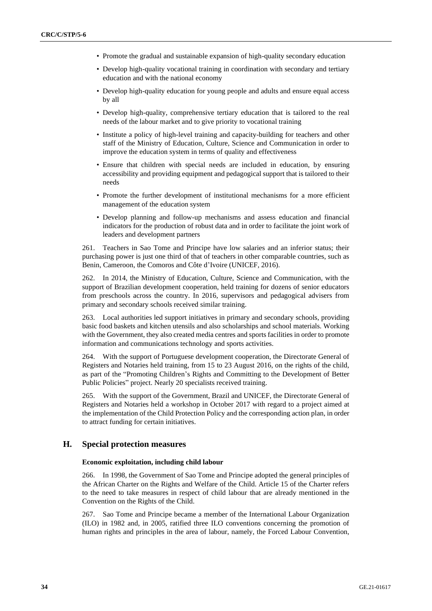- Promote the gradual and sustainable expansion of high-quality secondary education
- Develop high-quality vocational training in coordination with secondary and tertiary education and with the national economy
- Develop high-quality education for young people and adults and ensure equal access by all
- Develop high-quality, comprehensive tertiary education that is tailored to the real needs of the labour market and to give priority to vocational training
- Institute a policy of high-level training and capacity-building for teachers and other staff of the Ministry of Education, Culture, Science and Communication in order to improve the education system in terms of quality and effectiveness
- Ensure that children with special needs are included in education, by ensuring accessibility and providing equipment and pedagogical support that is tailored to their needs
- Promote the further development of institutional mechanisms for a more efficient management of the education system
- Develop planning and follow-up mechanisms and assess education and financial indicators for the production of robust data and in order to facilitate the joint work of leaders and development partners

261. Teachers in Sao Tome and Principe have low salaries and an inferior status; their purchasing power is just one third of that of teachers in other comparable countries, such as Benin, Cameroon, the Comoros and Côte d'Ivoire (UNICEF, 2016).

262. In 2014, the Ministry of Education, Culture, Science and Communication, with the support of Brazilian development cooperation, held training for dozens of senior educators from preschools across the country. In 2016, supervisors and pedagogical advisers from primary and secondary schools received similar training.

Local authorities led support initiatives in primary and secondary schools, providing basic food baskets and kitchen utensils and also scholarships and school materials. Working with the Government, they also created media centres and sports facilities in order to promote information and communications technology and sports activities.

264. With the support of Portuguese development cooperation, the Directorate General of Registers and Notaries held training, from 15 to 23 August 2016, on the rights of the child, as part of the "Promoting Children's Rights and Committing to the Development of Better Public Policies" project. Nearly 20 specialists received training.

265. With the support of the Government, Brazil and UNICEF, the Directorate General of Registers and Notaries held a workshop in October 2017 with regard to a project aimed at the implementation of the Child Protection Policy and the corresponding action plan, in order to attract funding for certain initiatives.

### **H. Special protection measures**

#### **Economic exploitation, including child labour**

266. In 1998, the Government of Sao Tome and Principe adopted the general principles of the African Charter on the Rights and Welfare of the Child. Article 15 of the Charter refers to the need to take measures in respect of child labour that are already mentioned in the Convention on the Rights of the Child.

267. Sao Tome and Principe became a member of the International Labour Organization (ILO) in 1982 and, in 2005, ratified three ILO conventions concerning the promotion of human rights and principles in the area of labour, namely, the Forced Labour Convention,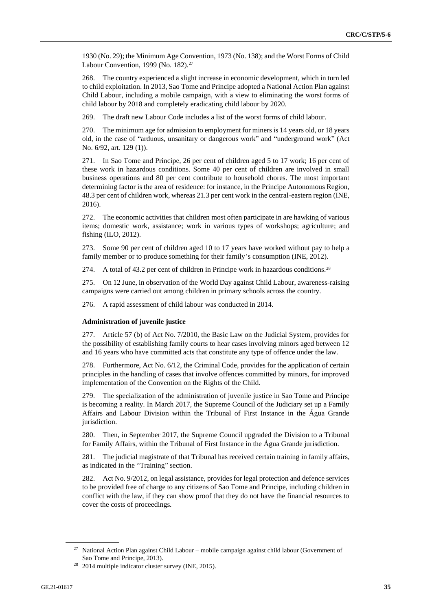1930 (No. 29); the Minimum Age Convention, 1973 (No. 138); and the Worst Forms of Child Labour Convention, 1999 (No. 182).<sup>27</sup>

268. The country experienced a slight increase in economic development, which in turn led to child exploitation. In 2013, Sao Tome and Principe adopted a National Action Plan against Child Labour, including a mobile campaign, with a view to eliminating the worst forms of child labour by 2018 and completely eradicating child labour by 2020.

269. The draft new Labour Code includes a list of the worst forms of child labour.

270. The minimum age for admission to employment for miners is 14 years old, or 18 years old, in the case of "arduous, unsanitary or dangerous work" and "underground work" (Act No. 6/92, art. 129 (1)).

271. In Sao Tome and Principe, 26 per cent of children aged 5 to 17 work; 16 per cent of these work in hazardous conditions. Some 40 per cent of children are involved in small business operations and 80 per cent contribute to household chores. The most important determining factor is the area of residence: for instance, in the Principe Autonomous Region, 48.3 per cent of children work, whereas 21.3 per cent work in the central-eastern region (INE, 2016).

272. The economic activities that children most often participate in are hawking of various items; domestic work, assistance; work in various types of workshops; agriculture; and fishing (ILO, 2012).

273. Some 90 per cent of children aged 10 to 17 years have worked without pay to help a family member or to produce something for their family's consumption (INE, 2012).

274. A total of 43.2 per cent of children in Principe work in hazardous conditions.<sup>28</sup>

275. On 12 June, in observation of the World Day against Child Labour, awareness-raising campaigns were carried out among children in primary schools across the country.

276. A rapid assessment of child labour was conducted in 2014.

#### **Administration of juvenile justice**

277. Article 57 (b) of Act No. 7/2010, the Basic Law on the Judicial System, provides for the possibility of establishing family courts to hear cases involving minors aged between 12 and 16 years who have committed acts that constitute any type of offence under the law.

278. Furthermore, Act No. 6/12, the Criminal Code, provides for the application of certain principles in the handling of cases that involve offences committed by minors, for improved implementation of the Convention on the Rights of the Child.

279. The specialization of the administration of juvenile justice in Sao Tome and Principe is becoming a reality. In March 2017, the Supreme Council of the Judiciary set up a Family Affairs and Labour Division within the Tribunal of First Instance in the Água Grande jurisdiction.

280. Then, in September 2017, the Supreme Council upgraded the Division to a Tribunal for Family Affairs, within the Tribunal of First Instance in the Água Grande jurisdiction.

281. The judicial magistrate of that Tribunal has received certain training in family affairs, as indicated in the "Training" section.

282. Act No. 9/2012, on legal assistance, provides for legal protection and defence services to be provided free of charge to any citizens of Sao Tome and Principe, including children in conflict with the law, if they can show proof that they do not have the financial resources to cover the costs of proceedings.

 $27$  National Action Plan against Child Labour – mobile campaign against child labour (Government of Sao Tome and Principe, 2013).

<sup>28</sup> 2014 multiple indicator cluster survey (INE, 2015).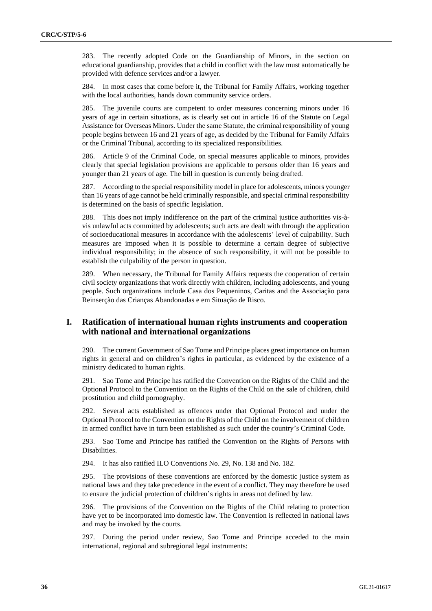283. The recently adopted Code on the Guardianship of Minors, in the section on educational guardianship, provides that a child in conflict with the law must automatically be provided with defence services and/or a lawyer.

284. In most cases that come before it, the Tribunal for Family Affairs, working together with the local authorities, hands down community service orders.

285. The juvenile courts are competent to order measures concerning minors under 16 years of age in certain situations, as is clearly set out in article 16 of the Statute on Legal Assistance for Overseas Minors. Under the same Statute, the criminal responsibility of young people begins between 16 and 21 years of age, as decided by the Tribunal for Family Affairs or the Criminal Tribunal, according to its specialized responsibilities.

286. Article 9 of the Criminal Code, on special measures applicable to minors, provides clearly that special legislation provisions are applicable to persons older than 16 years and younger than 21 years of age. The bill in question is currently being drafted.

287. According to the special responsibility model in place for adolescents, minors younger than 16 years of age cannot be held criminally responsible, and special criminal responsibility is determined on the basis of specific legislation.

288. This does not imply indifference on the part of the criminal justice authorities vis-àvis unlawful acts committed by adolescents; such acts are dealt with through the application of socioeducational measures in accordance with the adolescents' level of culpability. Such measures are imposed when it is possible to determine a certain degree of subjective individual responsibility; in the absence of such responsibility, it will not be possible to establish the culpability of the person in question.

289. When necessary, the Tribunal for Family Affairs requests the cooperation of certain civil society organizations that work directly with children, including adolescents, and young people. Such organizations include Casa dos Pequeninos, Caritas and the Associação para Reinserção das Crianças Abandonadas e em Situação de Risco.

# **I. Ratification of international human rights instruments and cooperation with national and international organizations**

290. The current Government of Sao Tome and Principe places great importance on human rights in general and on children's rights in particular, as evidenced by the existence of a ministry dedicated to human rights.

291. Sao Tome and Principe has ratified the Convention on the Rights of the Child and the Optional Protocol to the Convention on the Rights of the Child on the sale of children, child prostitution and child pornography.

292. Several acts established as offences under that Optional Protocol and under the Optional Protocol to the Convention on the Rights of the Child on the involvement of children in armed conflict have in turn been established as such under the country's Criminal Code.

293. Sao Tome and Principe has ratified the Convention on the Rights of Persons with Disabilities.

294. It has also ratified ILO Conventions No. 29, No. 138 and No. 182.

295. The provisions of these conventions are enforced by the domestic justice system as national laws and they take precedence in the event of a conflict. They may therefore be used to ensure the judicial protection of children's rights in areas not defined by law.

296. The provisions of the Convention on the Rights of the Child relating to protection have yet to be incorporated into domestic law. The Convention is reflected in national laws and may be invoked by the courts.

297. During the period under review, Sao Tome and Principe acceded to the main international, regional and subregional legal instruments: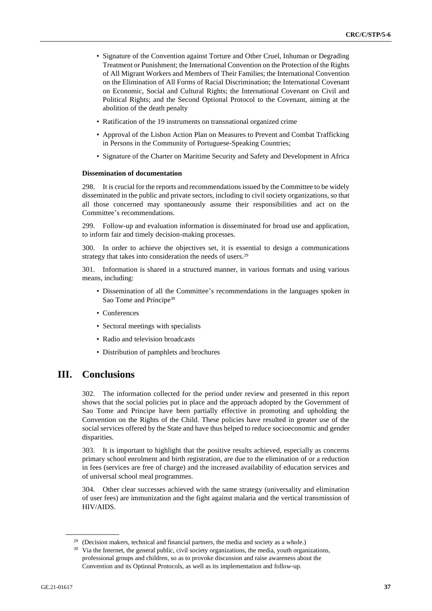- Signature of the Convention against Torture and Other Cruel, Inhuman or Degrading Treatment or Punishment; the International Convention on the Protection of the Rights of All Migrant Workers and Members of Their Families; the International Convention on the Elimination of All Forms of Racial Discrimination; the International Covenant on Economic, Social and Cultural Rights; the International Covenant on Civil and Political Rights; and the Second Optional Protocol to the Covenant, aiming at the abolition of the death penalty
- Ratification of the 19 instruments on transnational organized crime
- Approval of the Lisbon Action Plan on Measures to Prevent and Combat Trafficking in Persons in the Community of Portuguese-Speaking Countries;
- Signature of the Charter on Maritime Security and Safety and Development in Africa

#### **Dissemination of documentation**

298. It is crucial for the reports and recommendations issued by the Committee to be widely disseminated in the public and private sectors, including to civil society organizations, so that all those concerned may spontaneously assume their responsibilities and act on the Committee's recommendations.

299. Follow-up and evaluation information is disseminated for broad use and application, to inform fair and timely decision-making processes.

300. In order to achieve the objectives set, it is essential to design a communications strategy that takes into consideration the needs of users.<sup>29</sup>

301. Information is shared in a structured manner, in various formats and using various means, including:

- Dissemination of all the Committee's recommendations in the languages spoken in Sao Tome and Principe<sup>30</sup>
- Conferences
- Sectoral meetings with specialists
- Radio and television broadcasts
- Distribution of pamphlets and brochures

# **III. Conclusions**

302. The information collected for the period under review and presented in this report shows that the social policies put in place and the approach adopted by the Government of Sao Tome and Principe have been partially effective in promoting and upholding the Convention on the Rights of the Child. These policies have resulted in greater use of the social services offered by the State and have thus helped to reduce socioeconomic and gender disparities.

303. It is important to highlight that the positive results achieved, especially as concerns primary school enrolment and birth registration, are due to the elimination of or a reduction in fees (services are free of charge) and the increased availability of education services and of universal school meal programmes.

304. Other clear successes achieved with the same strategy (universality and elimination of user fees) are immunization and the fight against malaria and the vertical transmission of HIV/AIDS.

<sup>(</sup>Decision makers, technical and financial partners, the media and society as a whole.)

<sup>&</sup>lt;sup>30</sup> Via the Internet, the general public, civil society organizations, the media, youth organizations, professional groups and children, so as to provoke discussion and raise awareness about the Convention and its Optional Protocols, as well as its implementation and follow-up.